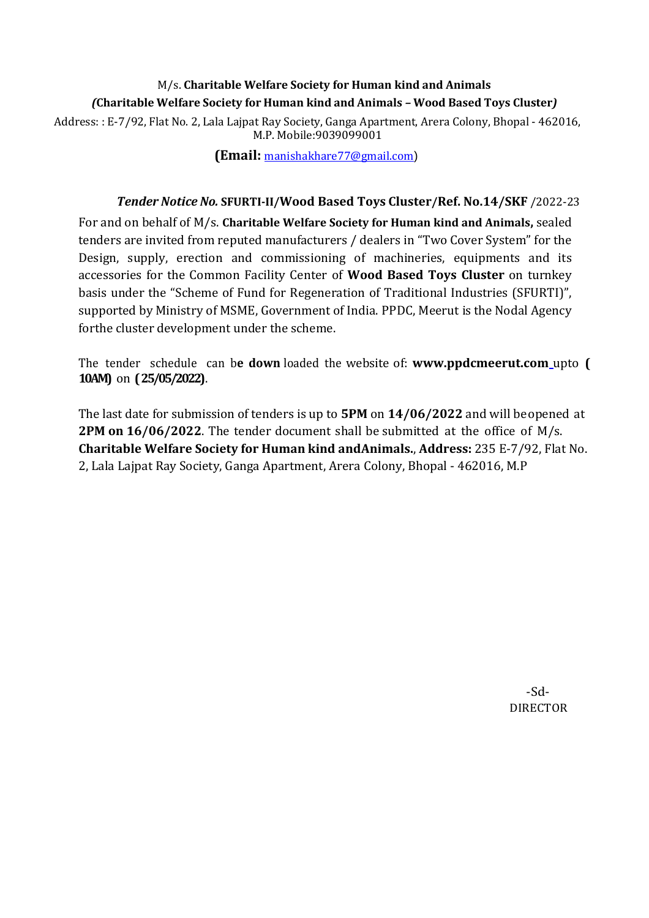## M/s. **Charitable Welfare Society for Human kind and Animals** *(***Charitable Welfare Society for Human kind and Animals** *–* **Wood Based Toys Cluster***)*

Address: : E-7/92, Flat No. 2, Lala Lajpat Ray Society, Ganga Apartment, Arera Colony, Bhopal - 462016, M.P. Mobile:9039099001

**(Email:** [manishakhare77@gmail.com](mailto:manishakhare77@gmail.com))

#### *Tender Notice No.* **SFURTI-II/Wood Based Toys Cluster/Ref. No.14/SKF** /2022-23

For and on behalf of M/s. **Charitable Welfare Society for Human kind and Animals,** sealed tenders are invited from reputed manufacturers / dealers in "Two Cover System" for the Design, supply, erection and commissioning of machineries, equipments and its accessories for the Common Facility Center of **Wood Based Toys Cluster** on turnkey basis under the "Scheme of Fund for Regeneration of Traditional Industries (SFURTI)", supported by Ministry of MSME, Government of India. PPDC, Meerut is the Nodal Agency forthe cluster development under the scheme.

The tender schedule can b**e down** loaded the website of: **www.ppdcmeerut.com** upto **( 10AM)** on **(25/05/2022)**.

The last date for submission of tenders is up to **5PM** on **14/06/2022** and will be opened at **2PM on 16/06/2022**. The tender document shall be submitted at the office of M/s. **Charitable Welfare Society for Human kind andAnimals.**, **Address:** 235 E-7/92, Flat No. 2, Lala Lajpat Ray Society, Ganga Apartment, Arera Colony, Bhopal - 462016, M.P

> -Sd-DIRECTOR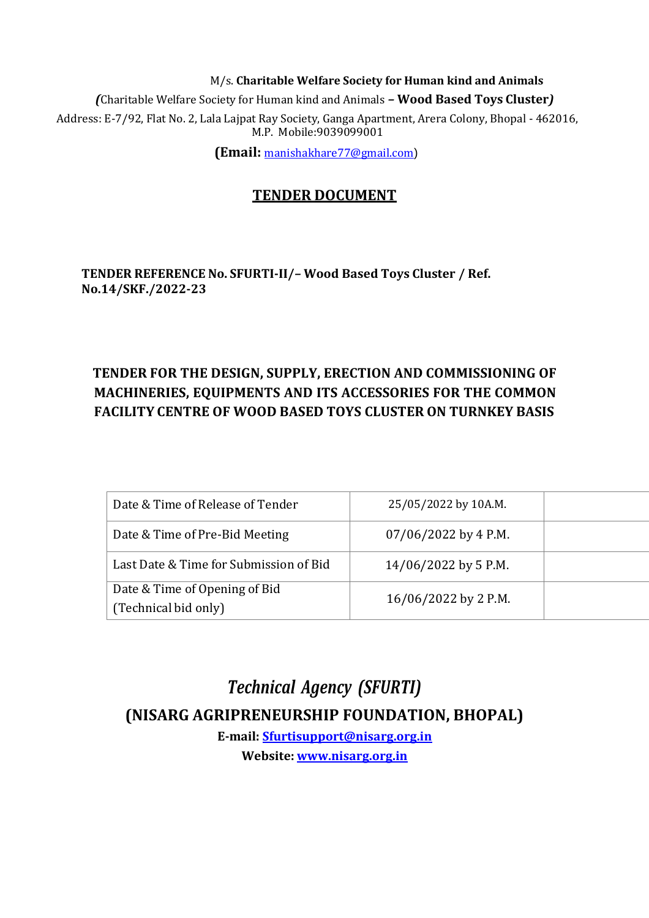M/s. **Charitable Welfare Society for Human kind and Animals** *(*Charitable Welfare Society for Human kind and Animals *–* **Wood Based Toys Cluster***)* Address: E-7/92, Flat No. 2, Lala Lajpat Ray Society, Ganga Apartment, Arera Colony, Bhopal - 462016, M.P. Mobile:9039099001

**(Email:** [manishakhare77@gmail.com](mailto:manishakhare77@gmail.com))

# **TENDER DOCUMENT**

**TENDER REFERENCE No. SFURTI-II/***–* **Wood Based Toys Cluster / Ref. No.14/SKF./2022-23**

# **TENDER FOR THE DESIGN, SUPPLY, ERECTION AND COMMISSIONING OF MACHINERIES, EQUIPMENTS AND ITS ACCESSORIES FOR THE COMMON FACILITY CENTRE OF WOOD BASED TOYS CLUSTER ON TURNKEY BASIS**

| Date & Time of Release of Tender                      | 25/05/2022 by 10A.M.   |  |
|-------------------------------------------------------|------------------------|--|
| Date & Time of Pre-Bid Meeting                        | $07/06/2022$ by 4 P.M. |  |
| Last Date & Time for Submission of Bid                | 14/06/2022 by 5 P.M.   |  |
| Date & Time of Opening of Bid<br>(Technical bid only) | 16/06/2022 by 2 P.M.   |  |

*Technical Agency (SFURTI)* **(NISARG AGRIPRENEURSHIP FOUNDATION, BHOPAL)**

**E-mail: [Sfurtisupport@nisarg.org.in](mailto:Sfurtisupport@nisarg.org.in) Website: [www.nisarg.org.in](http://www.nisarg.org.in/)**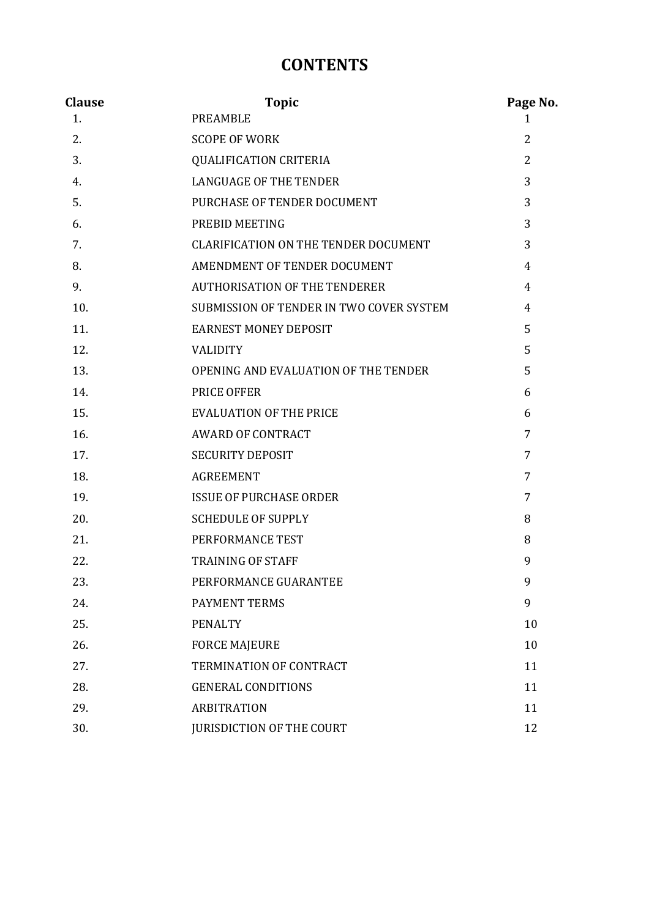# **CONTENTS**

| <b>Clause</b> | <b>Topic</b>                                | Page No.       |
|---------------|---------------------------------------------|----------------|
| 1.            | <b>PREAMBLE</b>                             | 1              |
| 2.            | <b>SCOPE OF WORK</b>                        | 2              |
| 3.            | <b>QUALIFICATION CRITERIA</b>               | $\overline{2}$ |
| 4.            | <b>LANGUAGE OF THE TENDER</b>               | 3              |
| 5.            | PURCHASE OF TENDER DOCUMENT                 | 3              |
| 6.            | PREBID MEETING                              | 3              |
| 7.            | <b>CLARIFICATION ON THE TENDER DOCUMENT</b> | 3              |
| 8.            | AMENDMENT OF TENDER DOCUMENT                | 4              |
| 9.            | <b>AUTHORISATION OF THE TENDERER</b>        | 4              |
| 10.           | SUBMISSION OF TENDER IN TWO COVER SYSTEM    | 4              |
| 11.           | <b>EARNEST MONEY DEPOSIT</b>                | 5              |
| 12.           | <b>VALIDITY</b>                             | 5              |
| 13.           | OPENING AND EVALUATION OF THE TENDER        | 5              |
| 14.           | PRICE OFFER                                 | 6              |
| 15.           | <b>EVALUATION OF THE PRICE</b>              | 6              |
| 16.           | <b>AWARD OF CONTRACT</b>                    | 7              |
| 17.           | <b>SECURITY DEPOSIT</b>                     | 7              |
| 18.           | <b>AGREEMENT</b>                            | 7              |
| 19.           | <b>ISSUE OF PURCHASE ORDER</b>              | 7              |
| 20.           | <b>SCHEDULE OF SUPPLY</b>                   | 8              |
| 21.           | PERFORMANCE TEST                            | 8              |
| 22.           | <b>TRAINING OF STAFF</b>                    | 9              |
| 23.           | PERFORMANCE GUARANTEE                       | 9              |
| 24.           | <b>PAYMENT TERMS</b>                        | 9              |
| 25.           | <b>PENALTY</b>                              | 10             |
| 26.           | <b>FORCE MAJEURE</b>                        | 10             |
| 27.           | TERMINATION OF CONTRACT                     | 11             |
| 28.           | <b>GENERAL CONDITIONS</b>                   | 11             |
| 29.           | <b>ARBITRATION</b>                          | 11             |
| 30.           | <b>JURISDICTION OF THE COURT</b>            | 12             |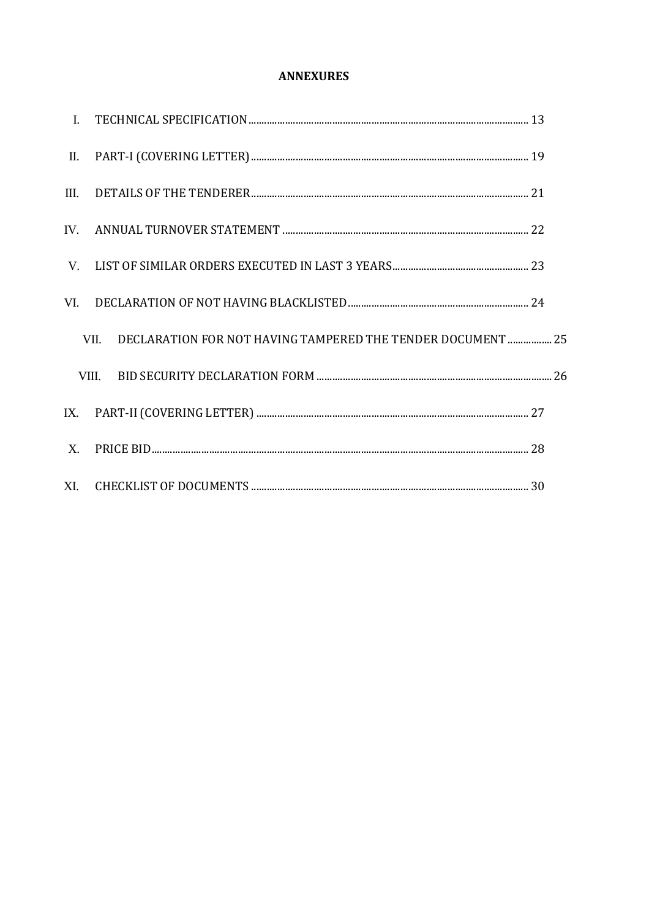#### **ANNEXURES**

| П.          |                                                                     |  |
|-------------|---------------------------------------------------------------------|--|
| III.        |                                                                     |  |
| IV.         |                                                                     |  |
| V.          |                                                                     |  |
| VI.         |                                                                     |  |
|             | DECLARATION FOR NOT HAVING TAMPERED THE TENDER DOCUMENT  25<br>VII. |  |
|             | VIII.                                                               |  |
|             |                                                                     |  |
| $X_{\cdot}$ |                                                                     |  |
|             |                                                                     |  |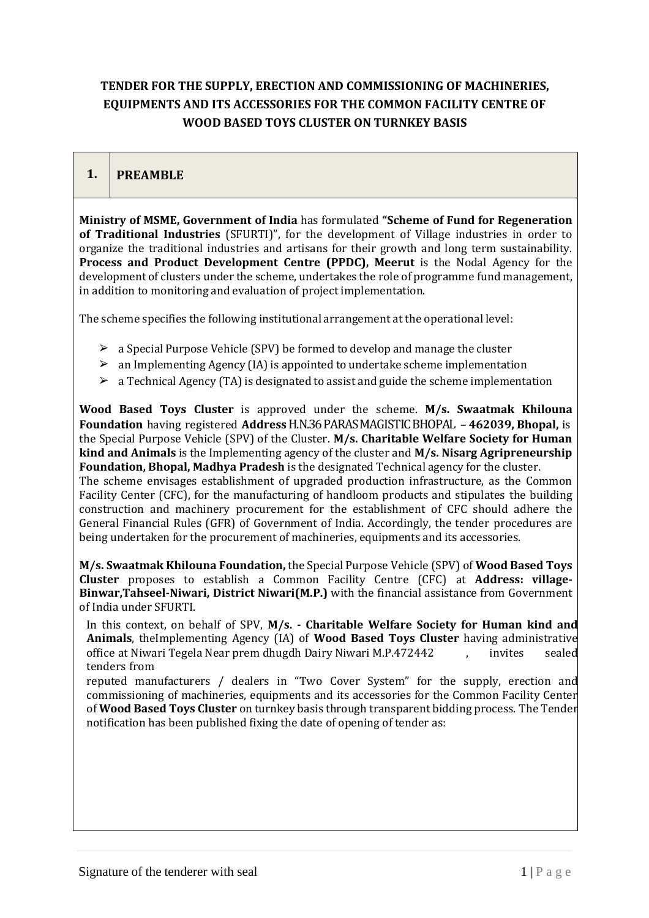## **TENDER FOR THE SUPPLY, ERECTION AND COMMISSIONING OF MACHINERIES, EQUIPMENTS AND ITS ACCESSORIES FOR THE COMMON FACILITY CENTRE OF WOOD BASED TOYS CLUSTER ON TURNKEY BASIS**

## **1. PREAMBLE**

**Ministry of MSME, Government of India** has formulated **"Scheme of Fund for Regeneration of Traditional Industries** (SFURTI)", for the development of Village industries in order to organize the traditional industries and artisans for their growth and long term sustainability. **Process and Product Development Centre (PPDC), Meerut** is the Nodal Agency for the development of clusters under the scheme, undertakes the role of programme fund management, in addition to monitoring and evaluation of project implementation.

The scheme specifies the following institutional arrangement at the operational level:

- $\geq$  a Special Purpose Vehicle (SPV) be formed to develop and manage the cluster
- $\geq$  an Implementing Agency (IA) is appointed to undertake scheme implementation
- $\geq$  a Technical Agency (TA) is designated to assist and guide the scheme implementation

**Wood Based Toys Cluster** is approved under the scheme. **M/s. Swaatmak Khilouna Foundation** having registered **Address**H.N.36 PARAS MAGISTIC BHOPAL **– 462039, Bhopal,** is the Special Purpose Vehicle (SPV) of the Cluster. **M/s. Charitable Welfare Society for Human kind and Animals** is the Implementing agency of the cluster and **M/s. Nisarg Agripreneurship Foundation, Bhopal, Madhya Pradesh** is the designated Technical agency for the cluster. The scheme envisages establishment of upgraded production infrastructure, as the Common Facility Center (CFC), for the manufacturing of handloom products and stipulates the building construction and machinery procurement for the establishment of CFC should adhere the General Financial Rules (GFR) of Government of India. Accordingly, the tender procedures are being undertaken for the procurement of machineries, equipments and its accessories.

**M/s. Swaatmak Khilouna Foundation,** the Special Purpose Vehicle (SPV) of **Wood Based Toys Cluster** proposes to establish a Common Facility Centre (CFC) at **Address: village-Binwar,Tahseel-Niwari, District Niwari(M.P.)** with the financial assistance from Government of India under SFURTI.

In this context, on behalf of SPV, **M/s. - Charitable Welfare Society for Human kind and Animals**, theImplementing Agency (IA) of **Wood Based Toys Cluster** having administrative office at Niwari Tegela Near prem dhugdh Dairy Niwari M.P.472442 , invites sealed tenders from

reputed manufacturers / dealers in "Two Cover System" for the supply, erection and commissioning of machineries, equipments and its accessories for the Common Facility Center of **Wood Based Toys Cluster** on turnkey basis through transparent bidding process. The Tender notification has been published fixing the date of opening of tender as: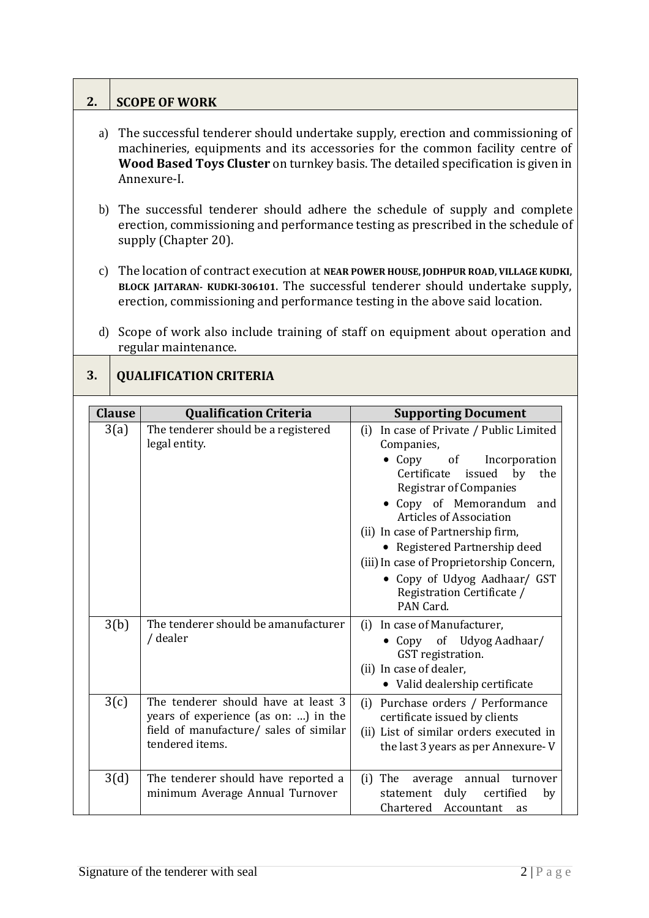# **2. SCOPE OF WORK**

- a) The successful tenderer should undertake supply, erection and commissioning of machineries, equipments and its accessories for the common facility centre of **Wood Based Toys Cluster** on turnkey basis. The detailed specification is given in Annexure-I.
- b) The successful tenderer should adhere the schedule of supply and complete erection, commissioning and performance testing as prescribed in the schedule of supply (Chapter 20).
- c) The location of contract execution at **NEAR POWER HOUSE, JODHPUR ROAD, VILLAGE KUDKI, BLOCK JAITARAN- KUDKI-306101**. The successful tenderer should undertake supply, erection, commissioning and performance testing in the above said location.
- d) Scope of work also include training of staff on equipment about operation and regular maintenance.

## **3. QUALIFICATION CRITERIA**

| <b>Clause</b> | <b>Qualification Criteria</b>                                                                                                            | <b>Supporting Document</b>                                                                                                                                                                                                                                      |
|---------------|------------------------------------------------------------------------------------------------------------------------------------------|-----------------------------------------------------------------------------------------------------------------------------------------------------------------------------------------------------------------------------------------------------------------|
| 3(a)          | The tenderer should be a registered<br>legal entity.                                                                                     | In case of Private / Public Limited<br>(i)<br>Companies,<br>• $Copy$ of<br>Incorporation<br>Certificate issued by<br>the<br><b>Registrar of Companies</b><br>• Copy of Memorandum<br>and<br><b>Articles of Association</b><br>(ii) In case of Partnership firm, |
|               |                                                                                                                                          | • Registered Partnership deed<br>(iii) In case of Proprietorship Concern,<br>• Copy of Udyog Aadhaar/ GST<br>Registration Certificate /<br>PAN Card.                                                                                                            |
| 3(b)          | The tenderer should be amanufacturer<br>/ dealer                                                                                         | In case of Manufacturer,<br>(i)<br>• Copy of Udyog Aadhaar/<br>GST registration.<br>(ii) In case of dealer,<br>• Valid dealership certificate                                                                                                                   |
| 3(c)          | The tenderer should have at least 3<br>years of experience (as on: ) in the<br>field of manufacture/ sales of similar<br>tendered items. | Purchase orders / Performance<br>(i)<br>certificate issued by clients<br>(ii) List of similar orders executed in<br>the last 3 years as per Annexure-V                                                                                                          |
| 3(d)          | The tenderer should have reported a<br>minimum Average Annual Turnover                                                                   | $(i)$ The<br>average<br>annual<br>turnover<br>statement duly<br>certified<br>by<br>Chartered Accountant<br>as                                                                                                                                                   |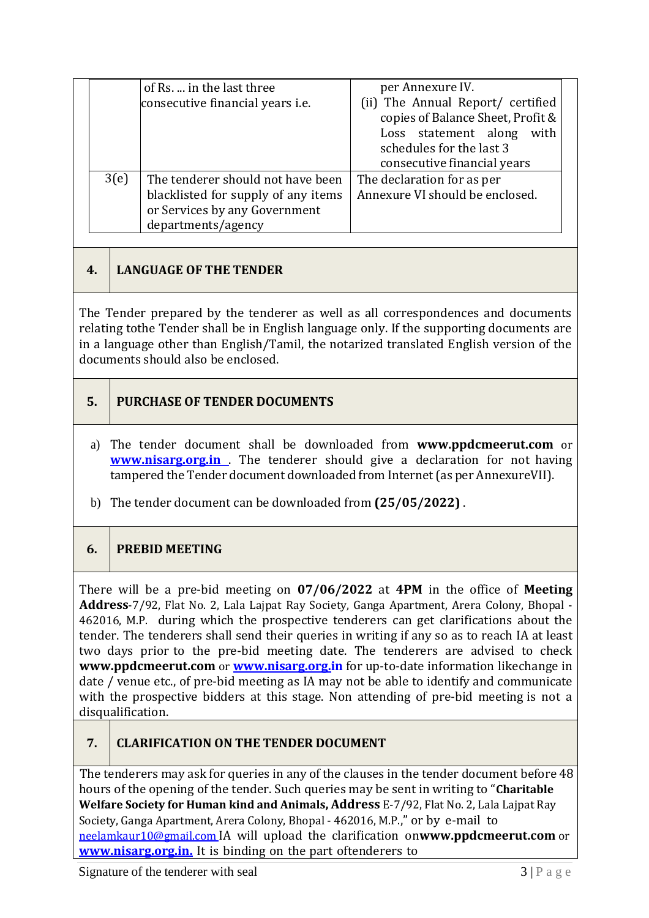|      |                                         | per Annexure IV.                  |  |
|------|-----------------------------------------|-----------------------------------|--|
|      | of Rs.  in the last three               |                                   |  |
|      | consecutive financial years <i>i.e.</i> | (ii) The Annual Report/ certified |  |
|      |                                         | copies of Balance Sheet, Profit & |  |
|      |                                         | Loss statement along<br>with      |  |
|      |                                         | schedules for the last 3          |  |
|      |                                         | consecutive financial years       |  |
| 3(e) | The tenderer should not have been       | The declaration for as per        |  |
|      | blacklisted for supply of any items     | Annexure VI should be enclosed.   |  |
|      | or Services by any Government           |                                   |  |
|      | departments/agency                      |                                   |  |

# **4. LANGUAGE OF THE TENDER**

The Tender prepared by the tenderer as well as all correspondences and documents relating tothe Tender shall be in English language only. If the supporting documents are in a language other than English/Tamil, the notarized translated English version of the documents should also be enclosed.

- **5. PURCHASE OF TENDER DOCUMENTS**
- a) The tender document shall be downloaded from **[www.ppdcmeerut.com](http://www.ppdcagra.dcmsme.gov.in/)** or **www.nisarg.org.in** . The tenderer should give a declaration for not having tampered the Tender document downloaded from Internet(as per AnnexureVII).
- b) The tender document can be downloaded from **(25/05/2022)** .

## **6. PREBID MEETING**

There will be a pre-bid meeting on **07/06/2022** at **4PM** in the office of **Meeting Address**-7/92, Flat No. 2, Lala Lajpat Ray Society, Ganga Apartment, Arera Colony, Bhopal - 462016, M.P. during which the prospective tenderers can get clarifications about the tender. The tenderers shall send their queries in writing if any so as to reach IA at least two days prior to the pre-bid meeting date. The tenderers are advised to check **[www.ppdcmeerut.com](http://www.ppdcagra.dcmsme.gov.in/)** or **[www.nisarg.org.in](http://www.nisarg.org.in/)** for up-to-date information likechange in date / venue etc., of pre-bid meeting as IA may not be able to identify and communicate with the prospective bidders at this stage. Non attending of pre-bid meeting is not a disqualification.

## **7. CLARIFICATION ON THE TENDER DOCUMENT**

The tenderers may ask for queries in any of the clauses in the tender document before 48 hours of the opening of the tender. Such queries may be sent in writing to "**Charitable Welfare Society for Human kind and Animals, Address** E-7/92, Flat No. 2, Lala Lajpat Ray Society, Ganga Apartment, Arera Colony, Bhopal - 462016, M.P.," or by e-mail to [neelamkaur10@gmail.com](mailto:neelamkaur10@gmail.com) IA will upload the clarification on**[www.ppdcmeerut.com](http://www.ppdcagra.dcmsme.gov.in/)** or **[www.nisarg.org.in.](http://www.nisarg.org.in./)** It is binding on the part oftenderers to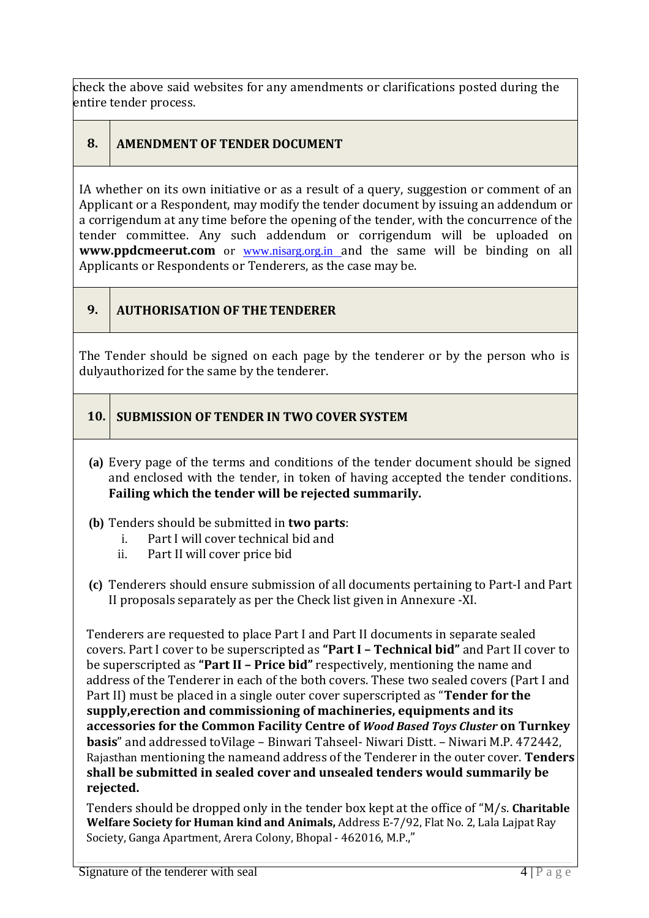check the above said websites for any amendments or clarifications posted during the entire tender process.

# **8. AMENDMENT OF TENDER DOCUMENT**

IA whether on its own initiative or as a result of a query, suggestion or comment of an Applicant or a Respondent, may modify the tender document by issuing an addendum or a corrigendum at any time before the opening of the tender, with the concurrence of the tender committee. Any such addendum or corrigendum will be uploaded on **[www.ppdcmeerut.com](http://www.ppdcagra.dcmsme.gov.in/)** or www.nisarg.org.in and the same will be binding on all Applicants or Respondents or Tenderers, as the case may be.

## **9. AUTHORISATION OF THE TENDERER**

The Tender should be signed on each page by the tenderer or by the person who is dulyauthorized for the same by the tenderer.

## **10. SUBMISSION OF TENDER IN TWO COVER SYSTEM**

**(a)** Every page of the terms and conditions of the tender document should be signed and enclosed with the tender, in token of having accepted the tender conditions. **Failing which the tender will be rejected summarily.**

## **(b)** Tenders should be submitted in **two parts**:

- i. Part I will cover technical bid and
- ii. Part II will cover price bid
- **(c)** Tenderers should ensure submission of all documents pertaining to Part-I and Part II proposals separately as per the Check list given in Annexure -XI.

Tenderers are requested to place Part I and Part II documents in separate sealed covers. Part I cover to be superscripted as **"Part I – Technical bid"** and Part II cover to be superscripted as **"Part II – Price bid"** respectively, mentioning the name and address of the Tenderer in each of the both covers. These two sealed covers (Part I and Part II) must be placed in a single outer cover superscripted as "**Tender for the supply,erection and commissioning of machineries, equipments and its accessories for the Common Facility Centre of** *Wood Based Toys Cluster* **on Turnkey basis**" and addressed toVilage – Binwari Tahseel- Niwari Distt. – Niwari M.P. 472442, Rajasthan mentioning the nameand address of the Tenderer in the outer cover. **Tenders shall be submitted in sealed cover and unsealed tenders would summarily be rejected.**

Tenders should be dropped only in the tender box kept at the office of "M/s. **Charitable Welfare Society for Human kind and Animals,** Address E-7/92, Flat No. 2, Lala Lajpat Ray Society, Ganga Apartment, Arera Colony, Bhopal - 462016, M.P.,"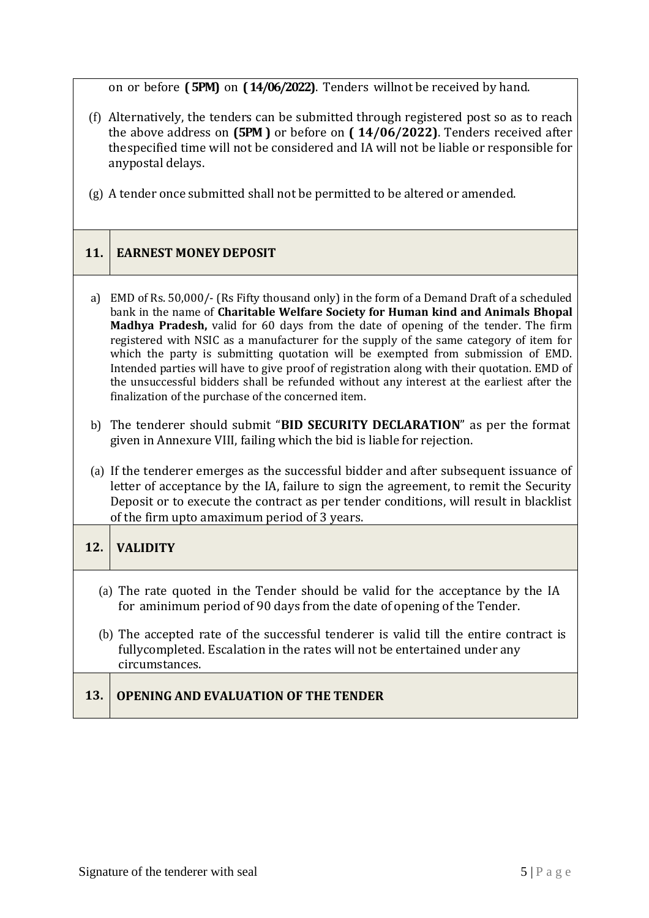on or before **(5PM)** on **(14/06/2022)**. Tenders willnot be received by hand.

- (f) Alternatively, the tenders can be submitted through registered post so as to reach the above address on **(5PM )** or before on **( 14/06/2022)**. Tenders received after thespecified time will not be considered and IA will not be liable or responsible for anypostal delays.
- (g) A tender once submitted shall not be permitted to be altered or amended.

## **11. EARNEST MONEY DEPOSIT**

- a) EMD of Rs. 50,000/- (Rs Fifty thousand only) in the form of a Demand Draft of a scheduled bank in the name of **Charitable Welfare Society for Human kind and Animals Bhopal Madhya Pradesh,** valid for 60 days from the date of opening of the tender. The firm registered with NSIC as a manufacturer for the supply of the same category of item for which the party is submitting quotation will be exempted from submission of EMD. Intended parties will have to give proof of registration along with their quotation. EMD of the unsuccessful bidders shall be refunded without any interest at the earliest after the finalization of the purchase of the concerned item.
- b) The tenderer should submit "**BID SECURITY DECLARATION**" as per the format given in Annexure VIII, failing which the bid is liable for rejection.
- (a) If the tenderer emerges as the successful bidder and after subsequent issuance of letter of acceptance by the IA, failure to sign the agreement, to remit the Security Deposit or to execute the contract as per tender conditions, will result in blacklist of the firm upto amaximum period of 3 years.

# **12. VALIDITY**

- (a) The rate quoted in the Tender should be valid for the acceptance by the IA for aminimum period of 90 days from the date of opening of the Tender.
- (b) The accepted rate of the successful tenderer is valid till the entire contract is fullycompleted. Escalation in the rates will not be entertained under any circumstances.

## **13. OPENING AND EVALUATION OF THE TENDER**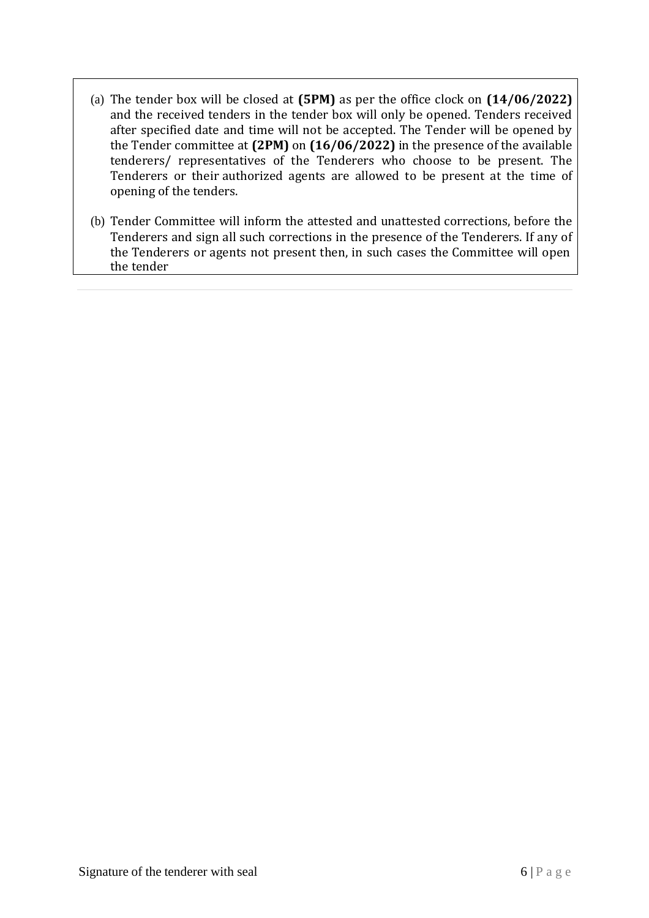- (a) The tender box will be closed at **(5PM)** as per the office clock on **(14/06/2022)**  and the received tenders in the tender box will only be opened. Tenders received after specified date and time will not be accepted. The Tender will be opened by the Tender committee at **(2PM)** on **(16/06/2022)** in the presence of the available tenderers/ representatives of the Tenderers who choose to be present. The Tenderers or their authorized agents are allowed to be present at the time of opening of the tenders.
- (b) Tender Committee will inform the attested and unattested corrections, before the Tenderers and sign all such corrections in the presence of the Tenderers. If any of the Tenderers or agents not present then, in such cases the Committee will open the tender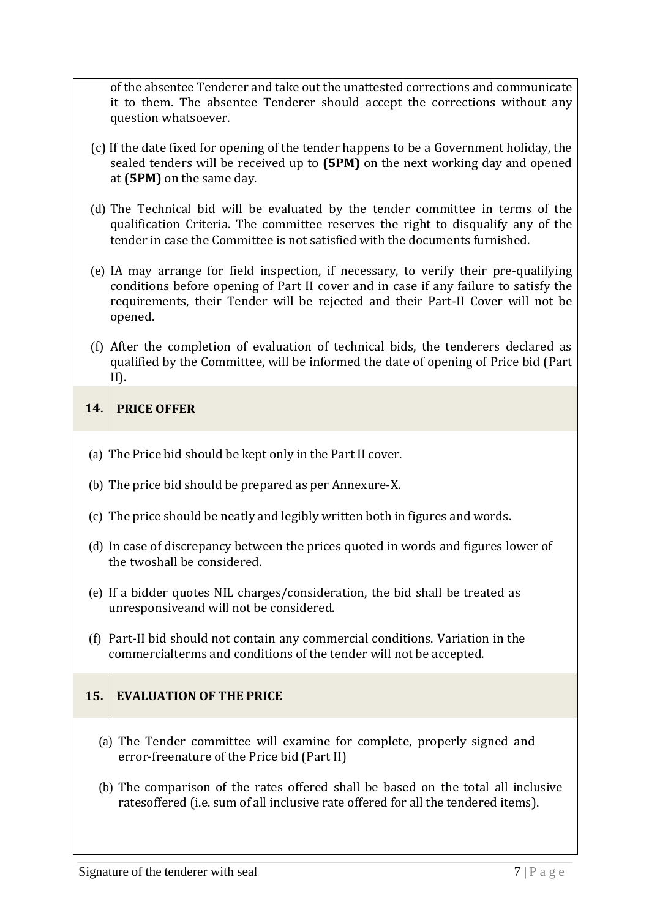of the absentee Tenderer and take out the unattested corrections and communicate it to them. The absentee Tenderer should accept the corrections without any question whatsoever.

- (c) If the date fixed for opening of the tender happens to be a Government holiday, the sealed tenders will be received up to **(5PM)** on the next working day and opened at **(5PM)** on the same day.
- (d) The Technical bid will be evaluated by the tender committee in terms of the qualification Criteria. The committee reserves the right to disqualify any of the tender in case the Committee is not satisfied with the documents furnished.
- (e) IA may arrange for field inspection, if necessary, to verify their pre-qualifying conditions before opening of Part II cover and in case if any failure to satisfy the requirements, their Tender will be rejected and their Part-II Cover will not be opened.
- (f) After the completion of evaluation of technical bids, the tenderers declared as qualified by the Committee, will be informed the date of opening of Price bid (Part II).

## **14. PRICE OFFER**

- (a) The Price bid should be kept only in the Part II cover.
- (b) The price bid should be prepared as per Annexure-X.
- (c) The price should be neatly and legibly written both in figures and words.
- (d) In case of discrepancy between the prices quoted in words and figures lower of the twoshall be considered.
- (e) If a bidder quotes NIL charges/consideration, the bid shall be treated as unresponsiveand will not be considered.
- (f) Part-II bid should not contain any commercial conditions. Variation in the commercialterms and conditions of the tender will not be accepted.

# **15. EVALUATION OF THE PRICE**

- (a) The Tender committee will examine for complete, properly signed and error-freenature of the Price bid (Part II)
- (b) The comparison of the rates offered shall be based on the total all inclusive ratesoffered (i.e. sum of all inclusive rate offered for all the tendered items).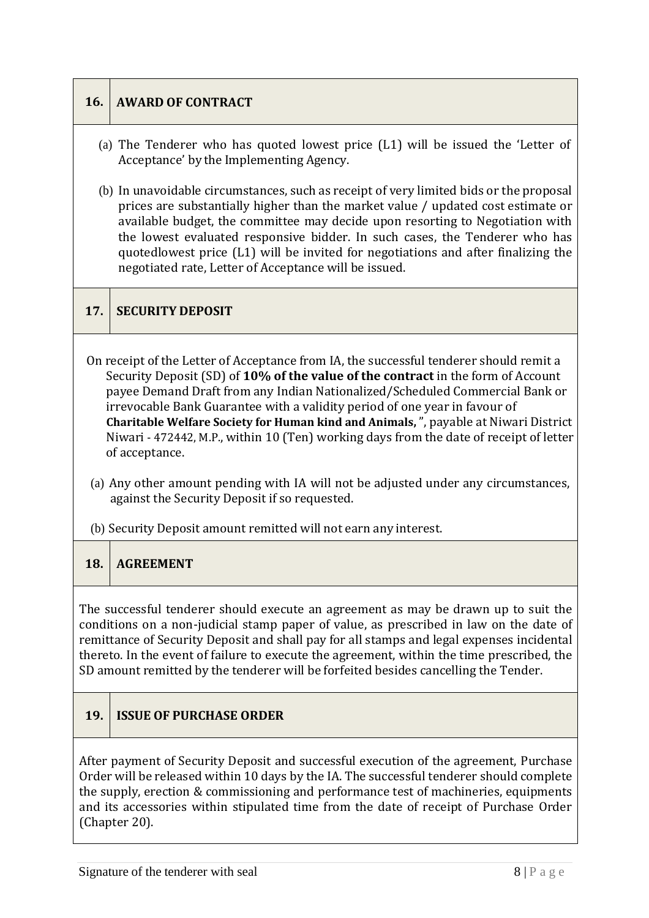# **16. AWARD OF CONTRACT**

- (a) The Tenderer who has quoted lowest price (L1) will be issued the 'Letter of Acceptance' by the Implementing Agency.
- (b) In unavoidable circumstances, such as receipt of very limited bids or the proposal prices are substantially higher than the market value / updated cost estimate or available budget, the committee may decide upon resorting to Negotiation with the lowest evaluated responsive bidder. In such cases, the Tenderer who has quotedlowest price (L1) will be invited for negotiations and after finalizing the negotiated rate, Letter of Acceptance will be issued.

## **17. SECURITY DEPOSIT**

- On receipt of the Letter of Acceptance from IA, the successful tenderer should remit a Security Deposit (SD) of **10% of the value of the contract** in the form of Account payee Demand Draft from any Indian Nationalized/Scheduled Commercial Bank or irrevocable Bank Guarantee with a validity period of one year in favour of **Charitable Welfare Society for Human kind and Animals,** ", payable at Niwari District Niwari - 472442, M.P., within 10 (Ten) working days from the date of receipt of letter of acceptance.
- (a) Any other amount pending with IA will not be adjusted under any circumstances, against the Security Deposit if so requested.
- (b) Security Deposit amount remitted will not earn any interest.

#### **18. AGREEMENT**

The successful tenderer should execute an agreement as may be drawn up to suit the conditions on a non-judicial stamp paper of value, as prescribed in law on the date of remittance of Security Deposit and shall pay for all stamps and legal expenses incidental thereto. In the event of failure to execute the agreement, within the time prescribed, the SD amount remitted by the tenderer will be forfeited besides cancelling the Tender.

# **19. ISSUE OF PURCHASE ORDER**

After payment of Security Deposit and successful execution of the agreement, Purchase Order will be released within 10 days by the IA. The successful tenderer should complete the supply, erection & commissioning and performance test of machineries, equipments and its accessories within stipulated time from the date of receipt of Purchase Order (Chapter 20).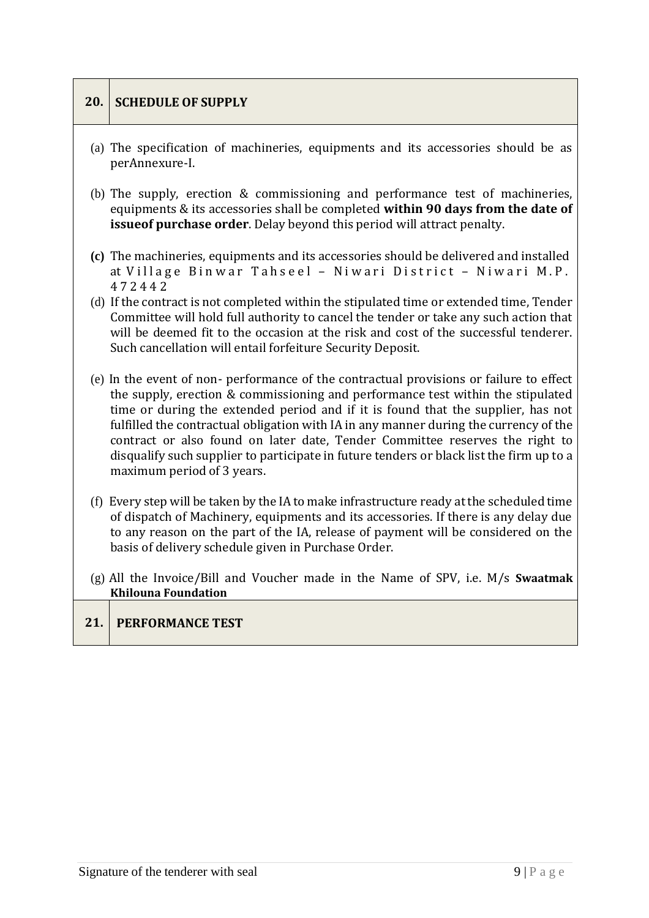# **20. SCHEDULE OF SUPPLY** (a) The specification of machineries, equipments and its accessories should be as perAnnexure-I. (b) The supply, erection & commissioning and performance test of machineries, equipments & its accessories shall be completed **within 90 days from the date of issueof purchase order**. Delay beyond this period will attract penalty. **(c)** The machineries, equipments and its accessories should be delivered and installed at Village Binwar Tahseel – Niwari District – Niwari M.P. 4 7 2 4 4 2 (d) If the contract is not completed within the stipulated time or extended time, Tender Committee will hold full authority to cancel the tender or take any such action that will be deemed fit to the occasion at the risk and cost of the successful tenderer. Such cancellation will entail forfeiture Security Deposit. (e) In the event of non- performance of the contractual provisions or failure to effect the supply, erection & commissioning and performance test within the stipulated time or during the extended period and if it is found that the supplier, has not fulfilled the contractual obligation with IA in any manner during the currency of the contract or also found on later date, Tender Committee reserves the right to disqualify such supplier to participate in future tenders or black list the firm up to a maximum period of 3 years. (f) Every step will be taken by the IA to make infrastructure ready at the scheduled time of dispatch of Machinery, equipments and its accessories. If there is any delay due to any reason on the part of the IA, release of payment will be considered on the basis of delivery schedule given in Purchase Order. (g) All the Invoice/Bill and Voucher made in the Name of SPV, i.e. M/s **Swaatmak Khilouna Foundation 21. PERFORMANCE TEST**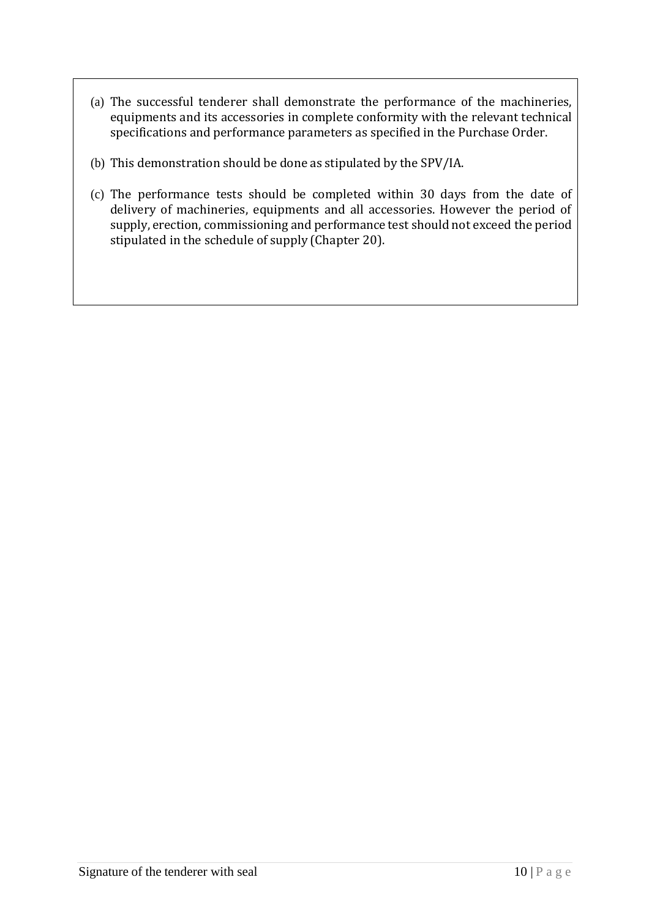- (a) The successful tenderer shall demonstrate the performance of the machineries, equipments and its accessories in complete conformity with the relevant technical specifications and performance parameters as specified in the Purchase Order.
- (b) This demonstration should be done as stipulated by the SPV/IA.
- (c) The performance tests should be completed within 30 days from the date of delivery of machineries, equipments and all accessories. However the period of supply, erection, commissioning and performance test should not exceed the period stipulated in the schedule of supply (Chapter 20).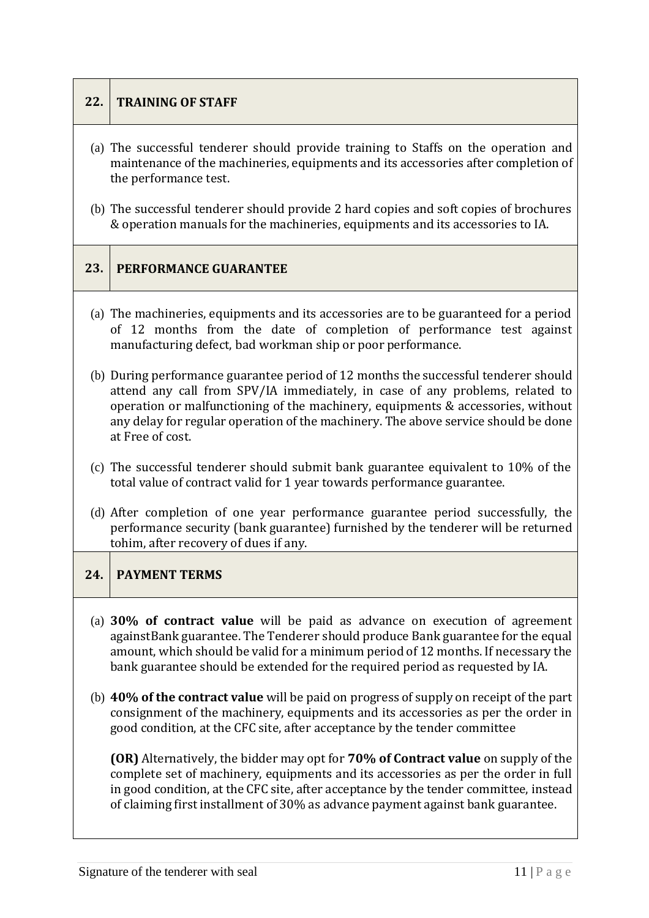## **22. TRAINING OF STAFF**

- (a) The successful tenderer should provide training to Staffs on the operation and maintenance of the machineries, equipments and its accessories after completion of the performance test.
- (b) The successful tenderer should provide 2 hard copies and soft copies of brochures & operation manuals for the machineries, equipments and its accessories to IA.

## **23. PERFORMANCE GUARANTEE**

- (a) The machineries, equipments and its accessories are to be guaranteed for a period of 12 months from the date of completion of performance test against manufacturing defect, bad workman ship or poor performance.
- (b) During performance guarantee period of 12 months the successful tenderer should attend any call from SPV/IA immediately, in case of any problems, related to operation or malfunctioning of the machinery, equipments & accessories, without any delay for regular operation of the machinery. The above service should be done at Free of cost.
- (c) The successful tenderer should submit bank guarantee equivalent to 10% of the total value of contract valid for 1 year towards performance guarantee.
- (d) After completion of one year performance guarantee period successfully, the performance security (bank guarantee) furnished by the tenderer will be returned tohim, after recovery of dues if any.

## **24. PAYMENT TERMS**

- (a) **30% of contract value** will be paid as advance on execution of agreement againstBank guarantee. The Tenderer should produce Bank guarantee for the equal amount, which should be valid for a minimum period of 12 months. If necessary the bank guarantee should be extended for the required period as requested by IA.
- (b) **40% of the contract value** will be paid on progress of supply on receipt of the part consignment of the machinery, equipments and its accessories as per the order in good condition, at the CFC site, after acceptance by the tender committee

**(OR)** Alternatively, the bidder may opt for **70% of Contract value** on supply of the complete set of machinery, equipments and its accessories as per the order in full in good condition, at the CFC site, after acceptance by the tender committee, instead of claiming first installment of 30% as advance payment against bank guarantee.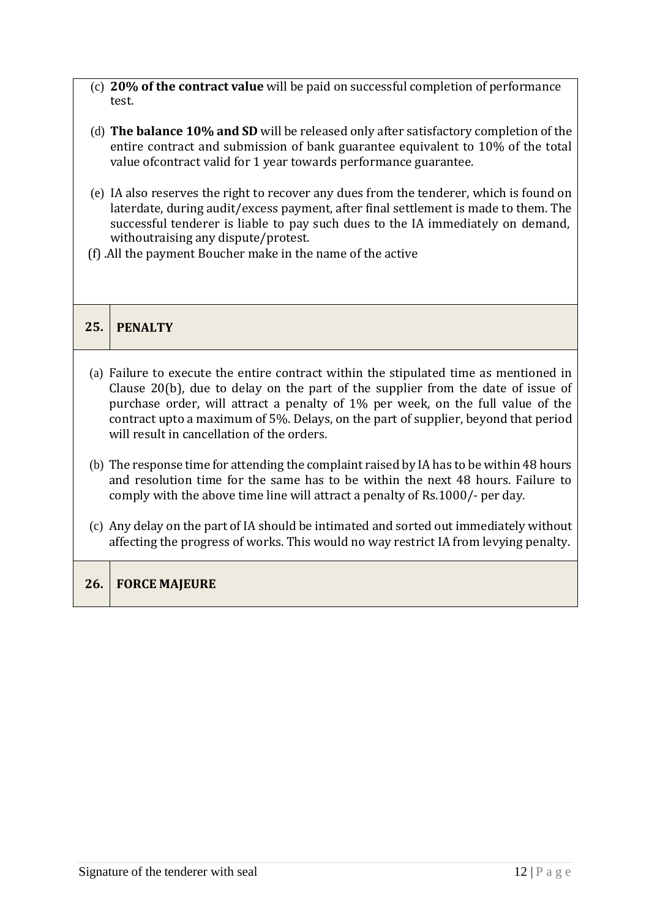- (c) **20% of the contract value** will be paid on successful completion of performance test.
- (d) **The balance 10% and SD** will be released only after satisfactory completion of the entire contract and submission of bank guarantee equivalent to 10% of the total value ofcontract valid for 1 year towards performance guarantee.
- (e) IA also reserves the right to recover any dues from the tenderer, which is found on laterdate, during audit/excess payment, after final settlement is made to them. The successful tenderer is liable to pay such dues to the IA immediately on demand, withoutraising any dispute/protest.
- (f) .All the payment Boucher make in the name of the active

# **25. PENALTY**

- (a) Failure to execute the entire contract within the stipulated time as mentioned in Clause 20(b), due to delay on the part of the supplier from the date of issue of purchase order, will attract a penalty of 1% per week, on the full value of the contract upto a maximum of 5%. Delays, on the part of supplier, beyond that period will result in cancellation of the orders.
- (b) The response time for attending the complaint raised by IA has to be within 48 hours and resolution time for the same has to be within the next 48 hours. Failure to comply with the above time line will attract a penalty of Rs.1000/- per day.
- (c) Any delay on the part of IA should be intimated and sorted out immediately without affecting the progress of works. This would no way restrict IA from levying penalty.

## **26. FORCE MAJEURE**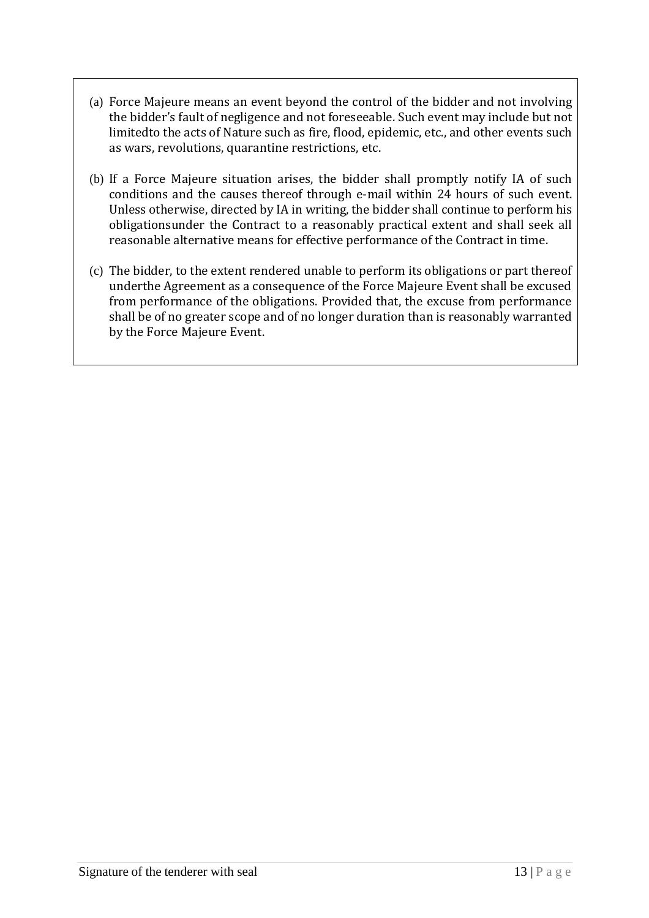- (a) Force Majeure means an event beyond the control of the bidder and not involving the bidder's fault of negligence and not foreseeable. Such event may include but not limitedto the acts of Nature such as fire, flood, epidemic, etc., and other events such as wars, revolutions, quarantine restrictions, etc.
- (b) If a Force Majeure situation arises, the bidder shall promptly notify IA of such conditions and the causes thereof through e-mail within 24 hours of such event. Unless otherwise, directed by IA in writing, the bidder shall continue to perform his obligationsunder the Contract to a reasonably practical extent and shall seek all reasonable alternative means for effective performance of the Contract in time.
- (c) The bidder, to the extent rendered unable to perform its obligations or part thereof underthe Agreement as a consequence of the Force Majeure Event shall be excused from performance of the obligations. Provided that, the excuse from performance shall be of no greater scope and of no longer duration than is reasonably warranted by the Force Majeure Event.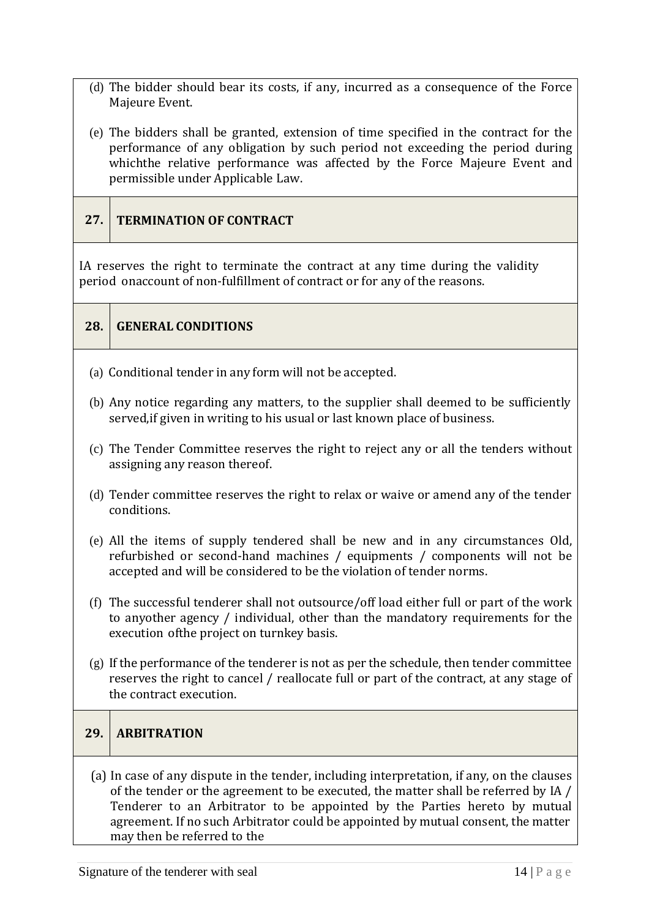- (d) The bidder should bear its costs, if any, incurred as a consequence of the Force Majeure Event.
- (e) The bidders shall be granted, extension of time specified in the contract for the performance of any obligation by such period not exceeding the period during whichthe relative performance was affected by the Force Majeure Event and permissible under Applicable Law.

## **27. TERMINATION OF CONTRACT**

IA reserves the right to terminate the contract at any time during the validity period onaccount of non-fulfillment of contract or for any of the reasons.

| 28. GENERAL CONDITIONS |
|------------------------|
|                        |

- (a) Conditional tender in any form will not be accepted.
- (b) Any notice regarding any matters, to the supplier shall deemed to be sufficiently served,if given in writing to his usual or last known place of business.
- (c) The Tender Committee reserves the right to reject any or all the tenders without assigning any reason thereof.
- (d) Tender committee reserves the right to relax or waive or amend any of the tender conditions.
- (e) All the items of supply tendered shall be new and in any circumstances Old, refurbished or second-hand machines / equipments / components will not be accepted and will be considered to be the violation of tender norms.
- (f) The successful tenderer shall not outsource/off load either full or part of the work to anyother agency / individual, other than the mandatory requirements for the execution ofthe project on turnkey basis.
- (g) If the performance of the tenderer is not as per the schedule, then tender committee reserves the right to cancel / reallocate full or part of the contract, at any stage of the contract execution.

#### **29. ARBITRATION**

(a) In case of any dispute in the tender, including interpretation, if any, on the clauses of the tender or the agreement to be executed, the matter shall be referred by IA / Tenderer to an Arbitrator to be appointed by the Parties hereto by mutual agreement. If no such Arbitrator could be appointed by mutual consent, the matter may then be referred to the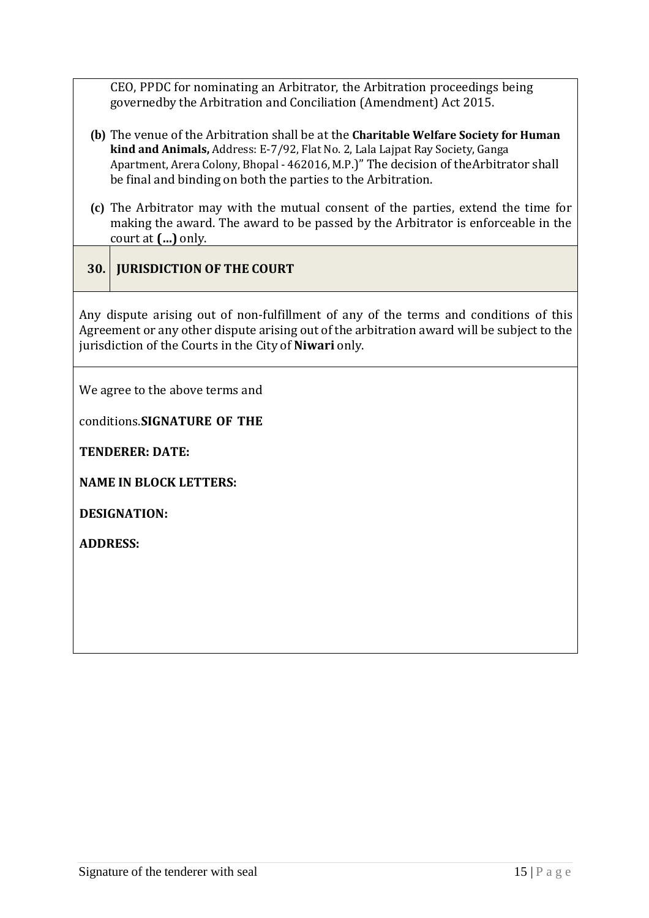CEO, PPDC for nominating an Arbitrator, the Arbitration proceedings being governedby the Arbitration and Conciliation (Amendment) Act 2015.

- **(b)** The venue of the Arbitration shall be at the **Charitable Welfare Society for Human kind and Animals,** Address: E-7/92, Flat No. 2, Lala Lajpat Ray Society, Ganga Apartment, Arera Colony, Bhopal - 462016, M.P.)" The decision of theArbitrator shall be final and binding on both the parties to the Arbitration.
- **(c)** The Arbitrator may with the mutual consent of the parties, extend the time for making the award. The award to be passed by the Arbitrator is enforceable in the court at **(…)** only.
- **30. JURISDICTION OF THE COURT**

Any dispute arising out of non-fulfillment of any of the terms and conditions of this Agreement or any other dispute arising out of the arbitration award will be subject to the jurisdiction of the Courts in the City of **Niwari** only.

We agree to the above terms and

conditions.**SIGNATURE OF THE**

**TENDERER: DATE:**

**NAME IN BLOCK LETTERS:**

**DESIGNATION:**

**ADDRESS:**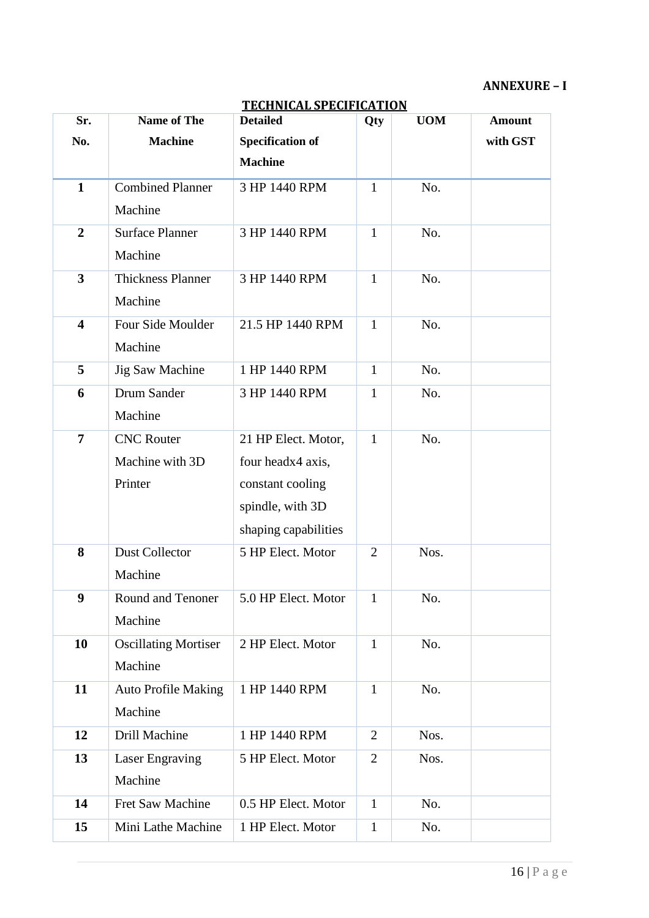## **ANNEXURE – I**

| Sr.                     | <b>Name of The</b>          | <u>I ECHNICAL SPECIFICATION</u><br><b>Detailed</b> | Qty            | <b>UOM</b> | <b>Amount</b> |
|-------------------------|-----------------------------|----------------------------------------------------|----------------|------------|---------------|
| No.                     | <b>Machine</b>              |                                                    |                |            | with GST      |
|                         |                             | <b>Specification of</b>                            |                |            |               |
|                         |                             | <b>Machine</b>                                     |                |            |               |
| $\mathbf{1}$            | <b>Combined Planner</b>     | 3 HP 1440 RPM                                      | $\mathbf{1}$   | No.        |               |
|                         | Machine                     |                                                    |                |            |               |
| $\overline{2}$          | <b>Surface Planner</b>      | 3 HP 1440 RPM                                      | $\mathbf{1}$   | No.        |               |
|                         | Machine                     |                                                    |                |            |               |
| $\overline{\mathbf{3}}$ | <b>Thickness Planner</b>    | 3 HP 1440 RPM                                      | $\mathbf{1}$   | No.        |               |
|                         | Machine                     |                                                    |                |            |               |
| $\overline{\mathbf{4}}$ | Four Side Moulder           | 21.5 HP 1440 RPM                                   | $\mathbf{1}$   | No.        |               |
|                         | Machine                     |                                                    |                |            |               |
| 5                       | <b>Jig Saw Machine</b>      | 1 HP 1440 RPM                                      | $\mathbf{1}$   | No.        |               |
| 6                       | Drum Sander                 | 3 HP 1440 RPM                                      | $\mathbf{1}$   | No.        |               |
|                         | Machine                     |                                                    |                |            |               |
| $\overline{7}$          | <b>CNC</b> Router           | 21 HP Elect. Motor,                                | $\mathbf{1}$   | No.        |               |
|                         | Machine with 3D             | four headx4 axis,                                  |                |            |               |
|                         | Printer                     | constant cooling                                   |                |            |               |
|                         |                             | spindle, with 3D                                   |                |            |               |
|                         |                             | shaping capabilities                               |                |            |               |
| 8                       | Dust Collector              | 5 HP Elect. Motor                                  | $\overline{2}$ | Nos.       |               |
|                         | Machine                     |                                                    |                |            |               |
| 9                       | Round and Tenoner           | 5.0 HP Elect. Motor                                | 1              | No.        |               |
|                         | Machine                     |                                                    |                |            |               |
| 10                      | <b>Oscillating Mortiser</b> | 2 HP Elect. Motor                                  | $\mathbf{1}$   | No.        |               |
|                         | Machine                     |                                                    |                |            |               |
| 11                      | <b>Auto Profile Making</b>  | 1 HP 1440 RPM                                      | $\mathbf{1}$   | No.        |               |
|                         | Machine                     |                                                    |                |            |               |
|                         |                             |                                                    |                |            |               |
| 12                      | Drill Machine               | 1 HP 1440 RPM                                      | $\overline{2}$ | Nos.       |               |
| 13                      | Laser Engraving             | 5 HP Elect. Motor                                  | $\overline{2}$ | Nos.       |               |
|                         | Machine                     |                                                    |                |            |               |
| 14                      | Fret Saw Machine            | 0.5 HP Elect. Motor                                | $\mathbf{1}$   | No.        |               |
| 15                      | Mini Lathe Machine          | 1 HP Elect. Motor                                  | $\mathbf{1}$   | No.        |               |

## **TECHNICAL SPECIFICATION**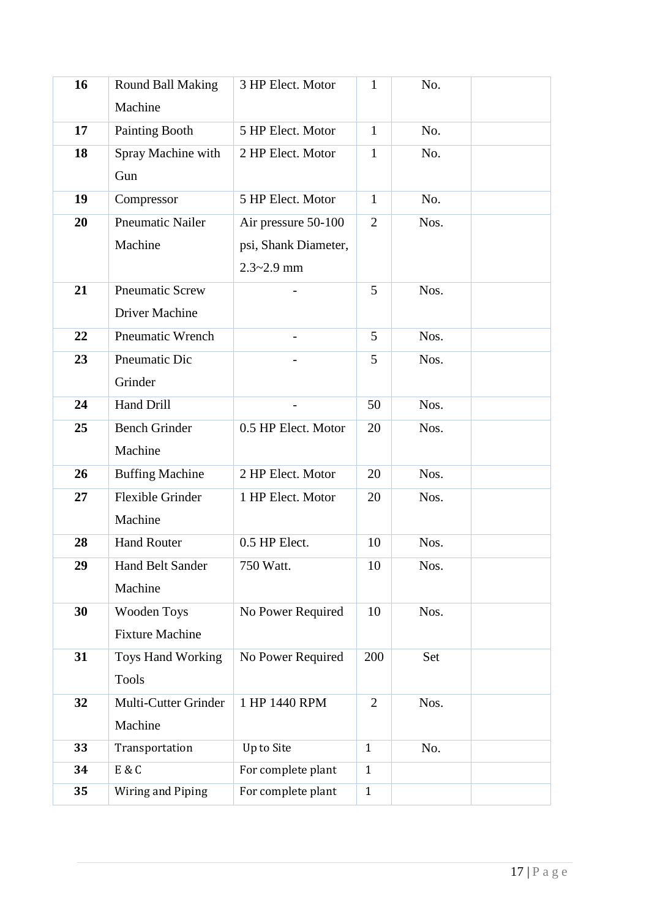| 16 | <b>Round Ball Making</b> | 3 HP Elect. Motor    | 1              | No.  |  |
|----|--------------------------|----------------------|----------------|------|--|
|    | Machine                  |                      |                |      |  |
| 17 | Painting Booth           | 5 HP Elect. Motor    | $\mathbf{1}$   | No.  |  |
| 18 | Spray Machine with       | 2 HP Elect. Motor    | $\mathbf{1}$   | No.  |  |
|    | Gun                      |                      |                |      |  |
| 19 | Compressor               | 5 HP Elect. Motor    | $\mathbf{1}$   | No.  |  |
| 20 | <b>Pneumatic Nailer</b>  | Air pressure 50-100  | $\overline{2}$ | Nos. |  |
|    | Machine                  | psi, Shank Diameter, |                |      |  |
|    |                          | $2.3 - 2.9$ mm       |                |      |  |
| 21 | <b>Pneumatic Screw</b>   |                      | 5              | Nos. |  |
|    | <b>Driver Machine</b>    |                      |                |      |  |
| 22 | <b>Pneumatic Wrench</b>  |                      | 5              | Nos. |  |
| 23 | Pneumatic Dic            |                      | 5              | Nos. |  |
|    | Grinder                  |                      |                |      |  |
| 24 | Hand Drill               |                      | 50             | Nos. |  |
| 25 | <b>Bench Grinder</b>     | 0.5 HP Elect. Motor  | 20             | Nos. |  |
|    | Machine                  |                      |                |      |  |
| 26 | <b>Buffing Machine</b>   | 2 HP Elect. Motor    | 20             | Nos. |  |
| 27 | <b>Flexible Grinder</b>  | 1 HP Elect. Motor    | $20\,$         | Nos. |  |
|    | Machine                  |                      |                |      |  |
| 28 | <b>Hand Router</b>       | 0.5 HP Elect.        | 10             | Nos. |  |
| 29 | Hand Belt Sander         | 750 Watt.            | 10             | Nos. |  |
|    | Machine                  |                      |                |      |  |
| 30 | Wooden Toys              | No Power Required    | 10             | Nos. |  |
|    | <b>Fixture Machine</b>   |                      |                |      |  |
| 31 | Toys Hand Working        | No Power Required    | 200            | Set  |  |
|    | <b>Tools</b>             |                      |                |      |  |
| 32 | Multi-Cutter Grinder     | 1 HP 1440 RPM        | $\overline{2}$ | Nos. |  |
|    | Machine                  |                      |                |      |  |
| 33 | Transportation           | Up to Site           | $\mathbf{1}$   | No.  |  |
| 34 | E & C                    | For complete plant   | $\mathbf{1}$   |      |  |
| 35 | Wiring and Piping        | For complete plant   | $\mathbf{1}$   |      |  |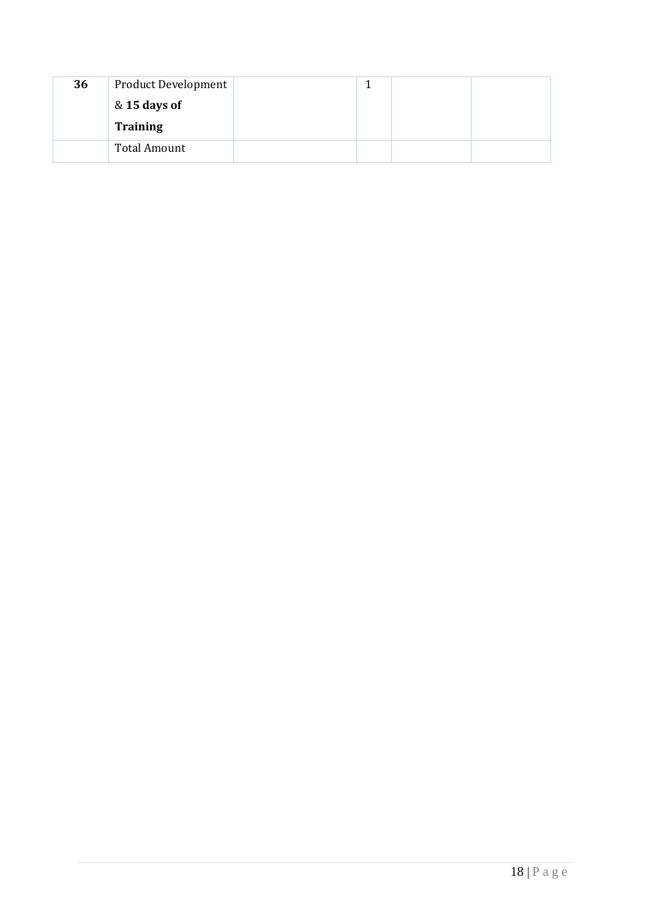| 36 | <b>Product Development</b> |  |  |
|----|----------------------------|--|--|
|    | & 15 days of               |  |  |
|    | <b>Training</b>            |  |  |
|    | Total Amount               |  |  |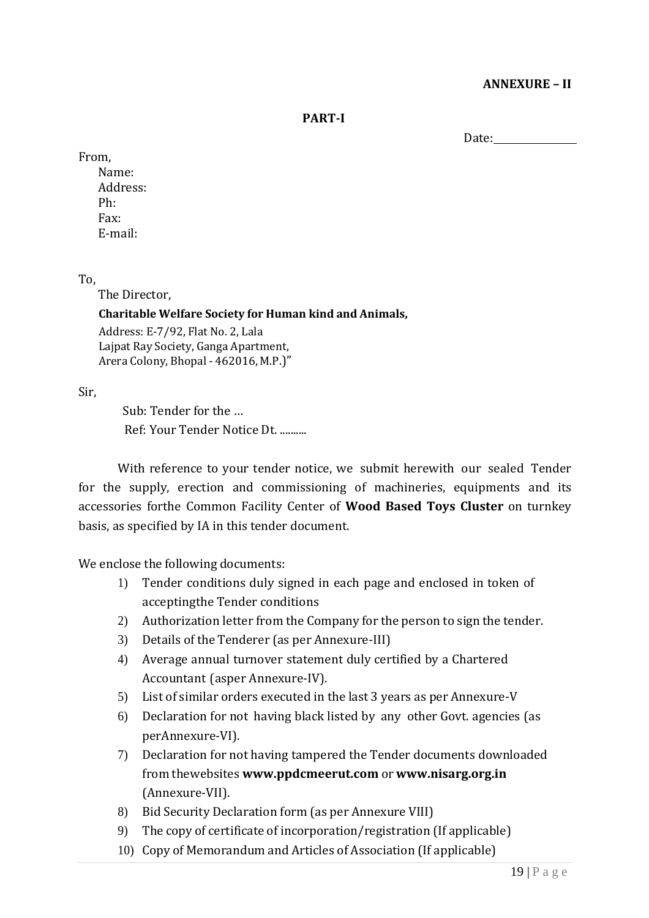### **ANNEXURE – II**

**PART-I**

Date:

#### From,

Name: Address: Ph: Fax: E-mail:

#### To,

The Director,

#### **Charitable Welfare Society for Human kind and Animals,**

Address: E-7/92, Flat No. 2, Lala Lajpat Ray Society, Ganga Apartment, Arera Colony, Bhopal - 462016, M.P.)"

Sir,

Sub: Tender for the … Ref: Your Tender Notice Dt. ..........

With reference to your tender notice, we submit herewith our sealed Tender for the supply, erection and commissioning of machineries, equipments and its accessories forthe Common Facility Center of **Wood Based Toys Cluster** on turnkey basis, as specified by IA in this tender document.

We enclose the following documents:

- 1) Tender conditions duly signed in each page and enclosed in token of acceptingthe Tender conditions
- 2) Authorization letter from the Company for the person to sign the tender.
- 3) Details of the Tenderer (as per Annexure-III)
- 4) Average annual turnover statement duly certified by a Chartered Accountant (asper Annexure-IV).
- 5) List of similar orders executed in the last 3 years as per Annexure-V
- 6) Declaration for not having black listed by any other Govt. agencies (as perAnnexure-VI).
- 7) Declaration for not having tampered the Tender documents downloaded from thewebsites **[www.ppdcmeerut.com](http://www.ppdcagra.dcmsme.gov.in/)** or **[www.nisarg.org.in](http://www.nisarg.org.in/)** (Annexure-VII).
- 8) Bid Security Declaration form (as per Annexure VIII)
- 9) The copy of certificate of incorporation/registration (If applicable)
- 10) Copy of Memorandum and Articles of Association (If applicable)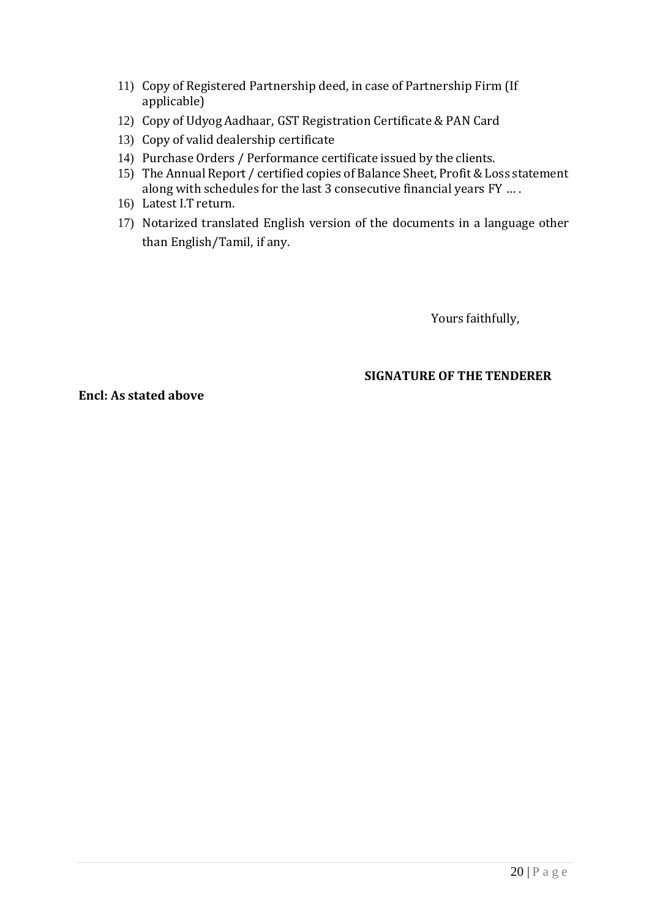- 11) Copy of Registered Partnership deed, in case of Partnership Firm (If applicable)
- 12) Copy of Udyog Aadhaar, GST Registration Certificate & PAN Card
- 13) Copy of valid dealership certificate
- 14) Purchase Orders / Performance certificate issued by the clients.
- 15) The Annual Report / certified copies of Balance Sheet, Profit & Loss statement along with schedules for the last 3 consecutive financial years FY … .
- 16) Latest I.T return.
- 17) Notarized translated English version of the documents in a language other than English/Tamil, if any.

Yours faithfully,

### **SIGNATURE OF THE TENDERER**

**Encl: As stated above**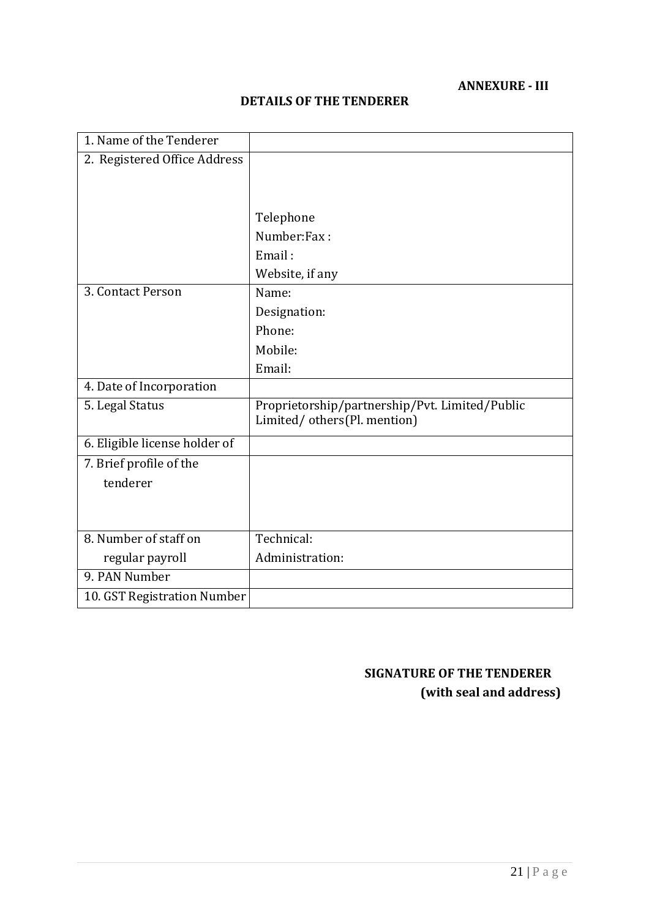## **ANNEXURE - III**

| <b>DETAILS OF THE TENDERER</b> |  |  |  |
|--------------------------------|--|--|--|
|--------------------------------|--|--|--|

| 1. Name of the Tenderer       |                                                                                |
|-------------------------------|--------------------------------------------------------------------------------|
| 2. Registered Office Address  |                                                                                |
|                               |                                                                                |
|                               |                                                                                |
|                               | Telephone                                                                      |
|                               | Number:Fax:                                                                    |
|                               | Email:                                                                         |
|                               | Website, if any                                                                |
| 3. Contact Person             | Name:                                                                          |
|                               | Designation:                                                                   |
|                               | Phone:                                                                         |
|                               | Mobile:                                                                        |
|                               | Email:                                                                         |
| 4. Date of Incorporation      |                                                                                |
| 5. Legal Status               | Proprietorship/partnership/Pvt. Limited/Public<br>Limited/ others(Pl. mention) |
| 6. Eligible license holder of |                                                                                |
| 7. Brief profile of the       |                                                                                |
| tenderer                      |                                                                                |
|                               |                                                                                |
|                               |                                                                                |
| 8. Number of staff on         | Technical:                                                                     |
| regular payroll               | Administration:                                                                |
| 9. PAN Number                 |                                                                                |
| 10. GST Registration Number   |                                                                                |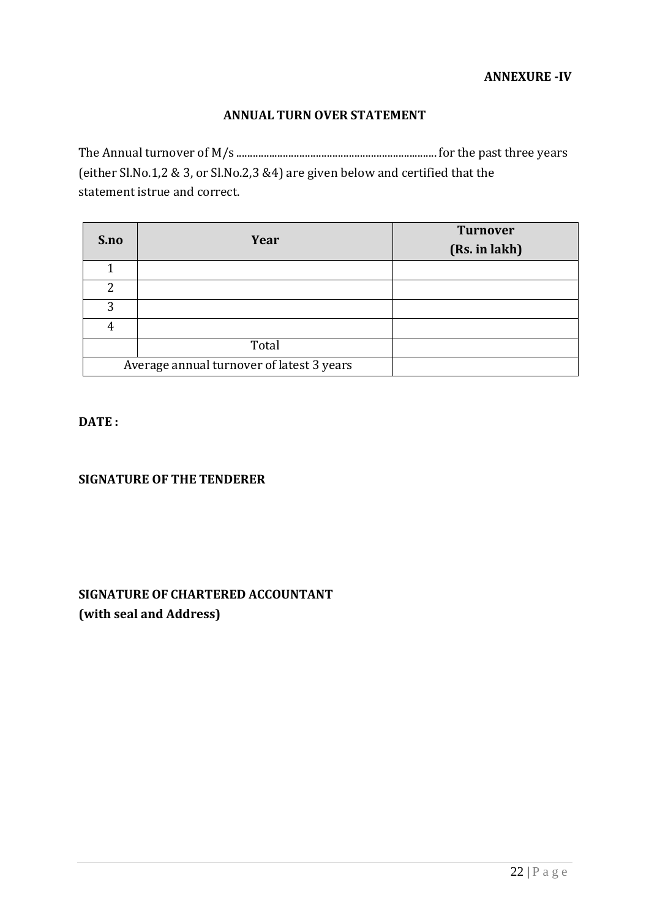### **ANNUAL TURN OVER STATEMENT**

The Annual turnover of M/s .........................................................................for the past three years (either Sl.No.1,2 & 3, or Sl.No.2,3 &4) are given below and certified that the statement istrue and correct.

| S.no | Year                                      | <b>Turnover</b><br>(Rs. in lakh) |
|------|-------------------------------------------|----------------------------------|
|      |                                           |                                  |
| 2    |                                           |                                  |
| 3    |                                           |                                  |
| 4    |                                           |                                  |
|      | Total                                     |                                  |
|      | Average annual turnover of latest 3 years |                                  |

#### **DATE :**

#### **SIGNATURE OF THE TENDERER**

# **SIGNATURE OF CHARTERED ACCOUNTANT (with seal and Address)**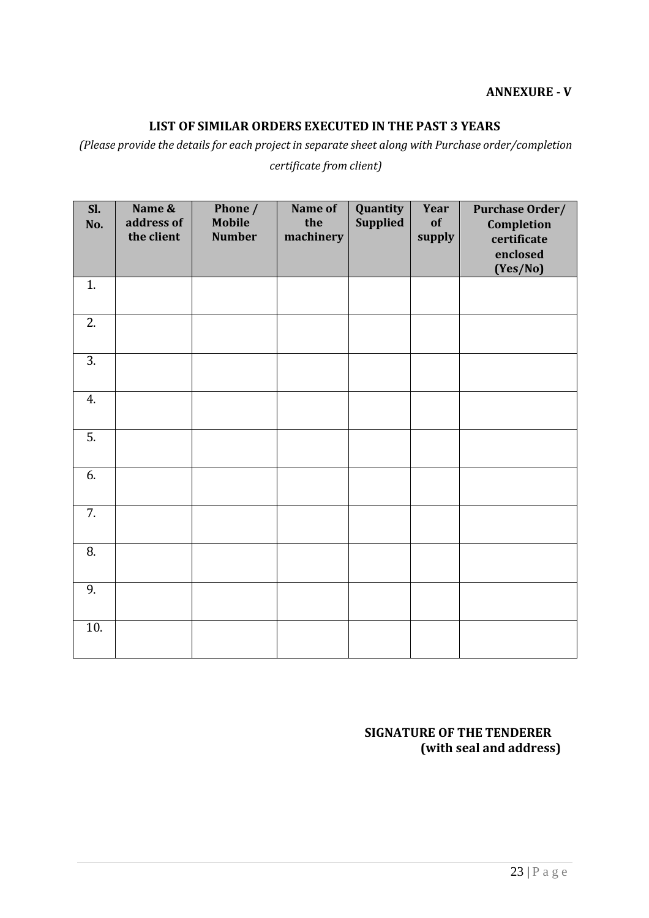#### **ANNEXURE - V**

### **LIST OF SIMILAR ORDERS EXECUTED IN THE PAST 3 YEARS**

*(Please provide the details for each project in separate sheet along with Purchase order/completion*

| Sl.<br>No.       | Name &<br>address of<br>the client | Phone /<br><b>Mobile</b><br><b>Number</b> | Name of<br>the<br>machinery | Quantity<br><b>Supplied</b> | Year<br>of<br>supply | Purchase Order/<br>Completion<br>certificate<br>enclosed<br>(Yes/No) |
|------------------|------------------------------------|-------------------------------------------|-----------------------------|-----------------------------|----------------------|----------------------------------------------------------------------|
| 1.               |                                    |                                           |                             |                             |                      |                                                                      |
| $\overline{2}$ . |                                    |                                           |                             |                             |                      |                                                                      |
| 3.               |                                    |                                           |                             |                             |                      |                                                                      |
| 4.               |                                    |                                           |                             |                             |                      |                                                                      |
| $\overline{5}$ . |                                    |                                           |                             |                             |                      |                                                                      |
| 6.               |                                    |                                           |                             |                             |                      |                                                                      |
| 7.               |                                    |                                           |                             |                             |                      |                                                                      |
| 8.               |                                    |                                           |                             |                             |                      |                                                                      |
| 9.               |                                    |                                           |                             |                             |                      |                                                                      |
| 10.              |                                    |                                           |                             |                             |                      |                                                                      |

*certificate from client)*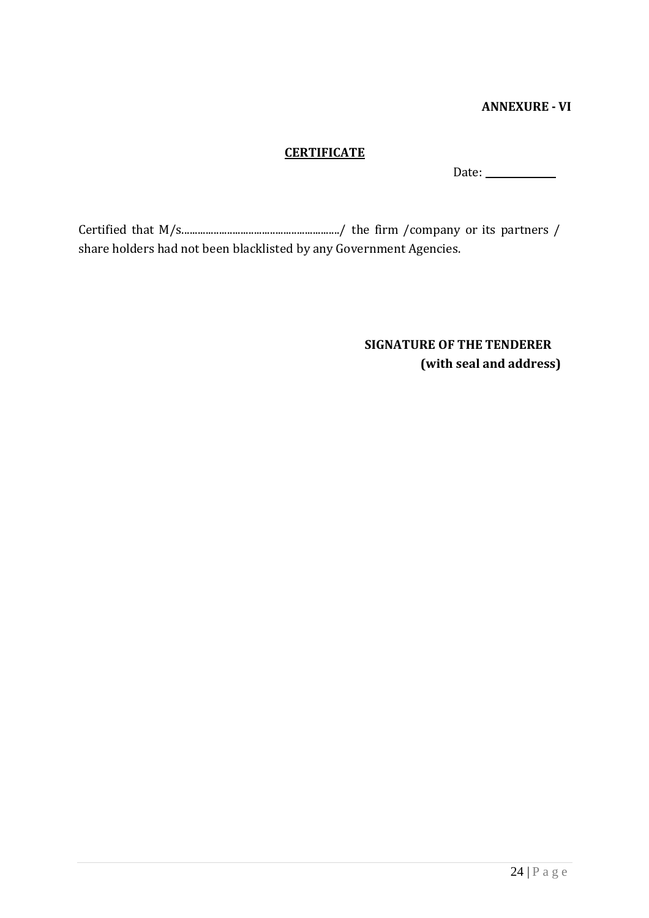#### **ANNEXURE - VI**

## **CERTIFICATE**

Date:

Certified that M/s.........................................................../ the firm /company or its partners / share holders had not been blacklisted by any Government Agencies.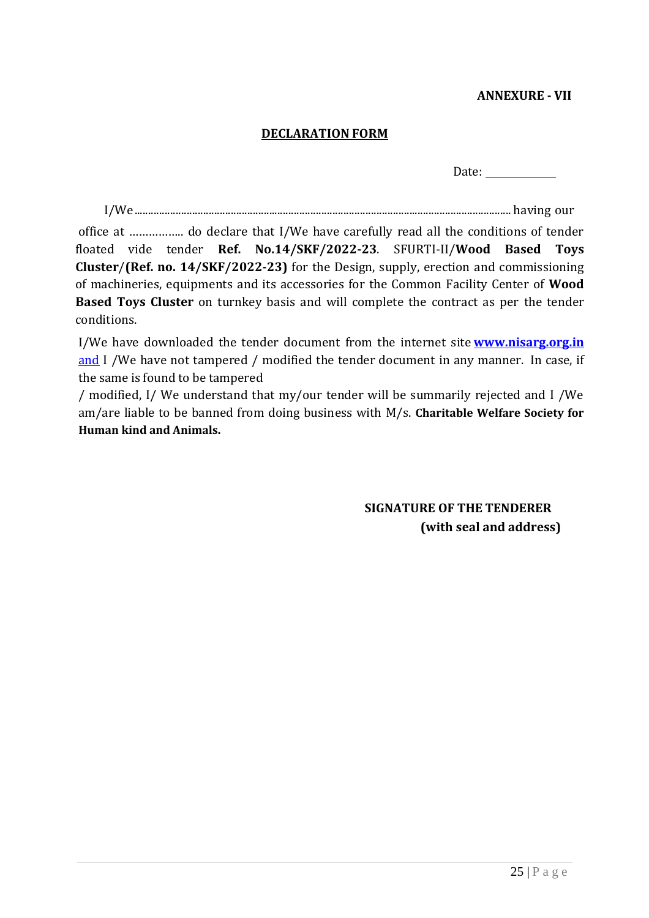### **ANNEXURE - VII**

#### **DECLARATION FORM**

Date:

I/We......................................................................................................................................... having our

office at …………….. do declare that I/We have carefully read all the conditions of tender floated vide tender **Ref. No.14/SKF/2022-23**. SFURTI-II/**Wood Based Toys Cluster**/**(Ref. no. 14/SKF/2022-23)** for the Design, supply, erection and commissioning of machineries, equipments and its accessories for the Common Facility Center of **Wood Based Toys Cluster** on turnkey basis and will complete the contract as per the tender conditions.

I/We have downloaded the tender document from the internet site **www.nisarg.org.in**  and I /We have not tampered / modified the tender document in any manner. In case, if the same is found to be tampered

/ modified, I/ We understand that my/our tender will be summarily rejected and I /We am/are liable to be banned from doing business with M/s. **Charitable Welfare Society for Human kind and Animals.**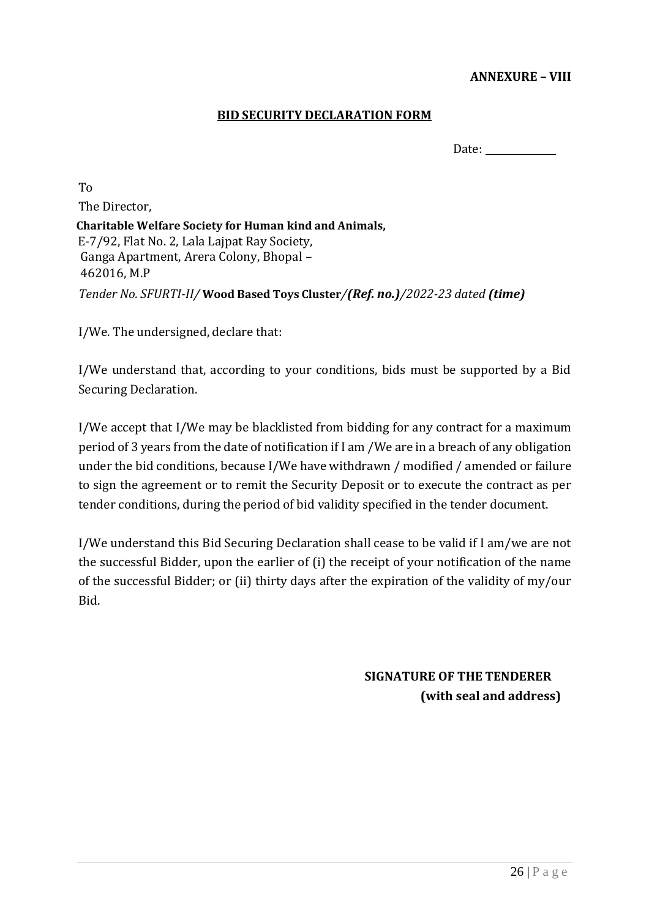#### **ANNEXURE – VIII**

#### **BID SECURITY DECLARATION FORM**

Date:

To The Director, **Charitable Welfare Society for Human kind and Animals,** E-7/92, Flat No. 2, Lala Lajpat Ray Society, Ganga Apartment, Arera Colony, Bhopal – 462016, M.P *Tender No. SFURTI-II/* **Wood Based Toys Cluster***/(Ref. no.)/2022-23 dated (time)*

I/We. The undersigned, declare that:

I/We understand that, according to your conditions, bids must be supported by a Bid Securing Declaration.

I/We accept that I/We may be blacklisted from bidding for any contract for a maximum period of 3 years from the date of notification if I am /We are in a breach of any obligation under the bid conditions, because I/We have withdrawn / modified / amended or failure to sign the agreement or to remit the Security Deposit or to execute the contract as per tender conditions, during the period of bid validity specified in the tender document.

I/We understand this Bid Securing Declaration shall cease to be valid if I am/we are not the successful Bidder, upon the earlier of (i) the receipt of your notification of the name of the successful Bidder; or (ii) thirty days after the expiration of the validity of my/our Bid.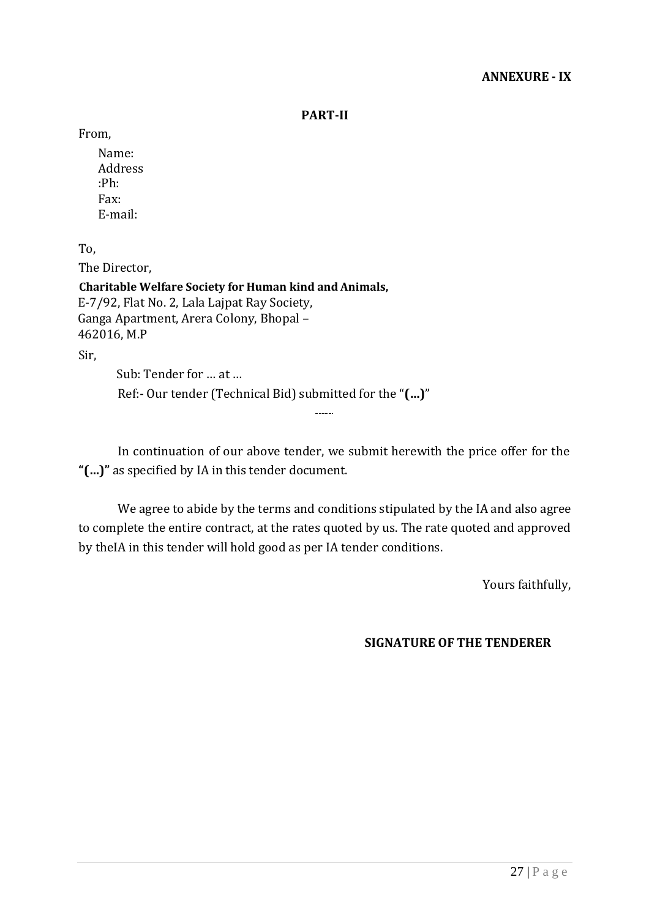**PART-II**

From,

Name: Address :Ph: Fax: E-mail:

To,

The Director,

**Charitable Welfare Society for Human kind and Animals,** E-7/92, Flat No. 2, Lala Lajpat Ray Society, Ganga Apartment, Arera Colony, Bhopal – 462016, M.P

Sir,

Sub: Tender for … at … Ref:- Our tender (Technical Bid) submitted for the "**(…)**"

In continuation of our above tender, we submit herewith the price offer for the **"(…)"** as specified by IA in this tender document.

 $\overline{\phantom{a}}$ 

We agree to abide by the terms and conditions stipulated by the IA and also agree to complete the entire contract, at the rates quoted by us. The rate quoted and approved by theIA in this tender will hold good as per IA tender conditions.

Yours faithfully,

#### **SIGNATURE OF THE TENDERER**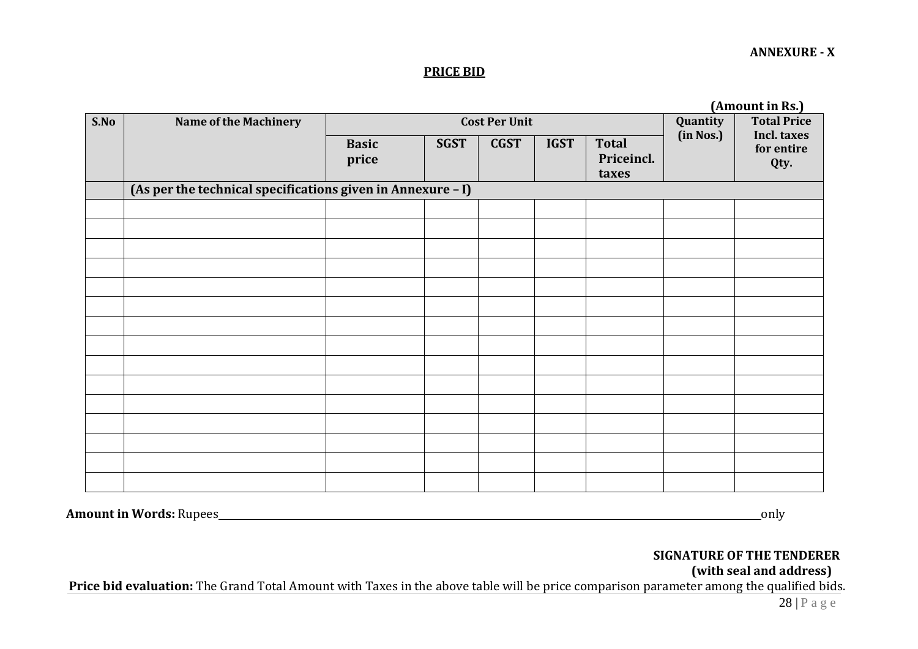#### **PRICE BID**

|      | (Amount in RS.)                                             |                      |             |             |             |                                               |           |            |
|------|-------------------------------------------------------------|----------------------|-------------|-------------|-------------|-----------------------------------------------|-----------|------------|
| S.No | Name of the Machinery                                       | <b>Cost Per Unit</b> |             |             |             | <b>Total Price</b><br>Quantity<br>Incl. taxes |           |            |
|      |                                                             | <b>Basic</b>         | <b>SGST</b> | <b>CGST</b> | <b>IGST</b> | <b>Total</b>                                  | (in Nos.) | for entire |
|      |                                                             | price                |             |             |             | Priceincl.                                    |           | Qty.       |
|      |                                                             |                      |             |             |             | taxes                                         |           |            |
|      | (As per the technical specifications given in Annexure - I) |                      |             |             |             |                                               |           |            |
|      |                                                             |                      |             |             |             |                                               |           |            |
|      |                                                             |                      |             |             |             |                                               |           |            |
|      |                                                             |                      |             |             |             |                                               |           |            |
|      |                                                             |                      |             |             |             |                                               |           |            |
|      |                                                             |                      |             |             |             |                                               |           |            |
|      |                                                             |                      |             |             |             |                                               |           |            |
|      |                                                             |                      |             |             |             |                                               |           |            |
|      |                                                             |                      |             |             |             |                                               |           |            |
|      |                                                             |                      |             |             |             |                                               |           |            |
|      |                                                             |                      |             |             |             |                                               |           |            |
|      |                                                             |                      |             |             |             |                                               |           |            |
|      |                                                             |                      |             |             |             |                                               |           |            |
|      |                                                             |                      |             |             |             |                                               |           |            |
|      |                                                             |                      |             |             |             |                                               |           |            |
|      |                                                             |                      |             |             |             |                                               |           |            |

**(Amount in Rs.)**

**Amount in Words:** Rupees only only

#### **SIGNATURE OF THE TENDERER (with seal and address)**

Price bid evaluation: The Grand Total Amount with Taxes in the above table will be price comparison parameter among the qualified bids.

#### **ANNEXURE - X**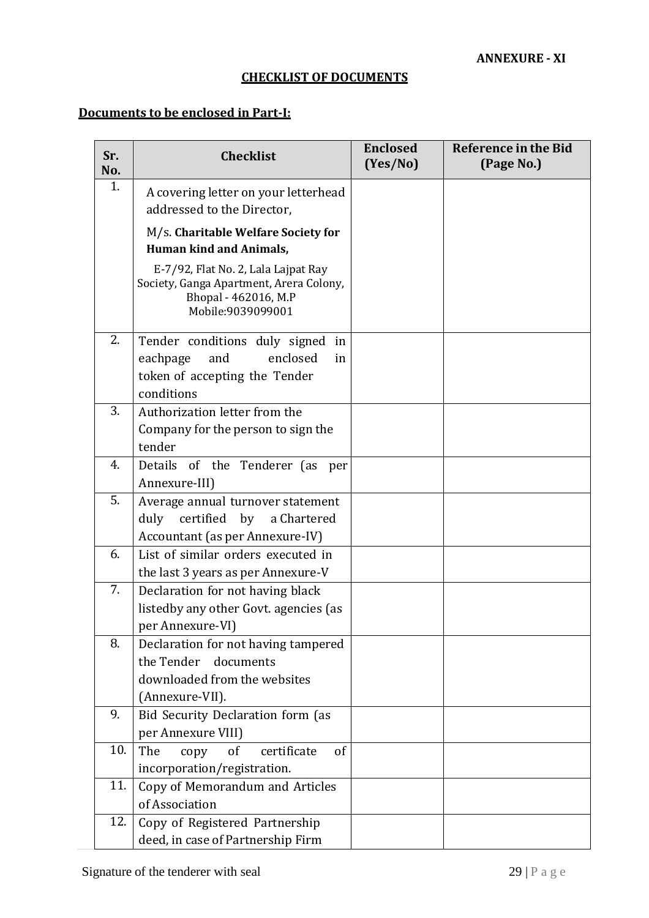## **CHECKLIST OF DOCUMENTS**

# **Documents to be enclosed in Part-I:**

| Sr.<br>No. | <b>Checklist</b>                                                                                                            | <b>Enclosed</b><br>(Yes/No) | <b>Reference in the Bid</b><br>(Page No.) |
|------------|-----------------------------------------------------------------------------------------------------------------------------|-----------------------------|-------------------------------------------|
| 1.         | A covering letter on your letterhead                                                                                        |                             |                                           |
|            | addressed to the Director,                                                                                                  |                             |                                           |
|            | M/s. Charitable Welfare Society for                                                                                         |                             |                                           |
|            | <b>Human kind and Animals,</b>                                                                                              |                             |                                           |
|            | E-7/92, Flat No. 2, Lala Lajpat Ray<br>Society, Ganga Apartment, Arera Colony,<br>Bhopal - 462016, M.P<br>Mobile:9039099001 |                             |                                           |
| 2.         | Tender conditions duly signed in                                                                                            |                             |                                           |
|            | eachpage<br>and<br>enclosed<br>in                                                                                           |                             |                                           |
|            | token of accepting the Tender                                                                                               |                             |                                           |
|            | conditions                                                                                                                  |                             |                                           |
| 3.         | Authorization letter from the                                                                                               |                             |                                           |
|            | Company for the person to sign the                                                                                          |                             |                                           |
|            | tender                                                                                                                      |                             |                                           |
| 4.         | Details of the Tenderer (as<br>per                                                                                          |                             |                                           |
|            | Annexure-III)                                                                                                               |                             |                                           |
| 5.         | Average annual turnover statement                                                                                           |                             |                                           |
|            | certified<br>by<br>duly<br>a Chartered                                                                                      |                             |                                           |
| 6.         | Accountant (as per Annexure-IV)                                                                                             |                             |                                           |
|            | List of similar orders executed in                                                                                          |                             |                                           |
| 7.         | the last 3 years as per Annexure-V<br>Declaration for not having black                                                      |                             |                                           |
|            | listedby any other Govt. agencies (as                                                                                       |                             |                                           |
|            | per Annexure-VI)                                                                                                            |                             |                                           |
| 8.         | Declaration for not having tampered                                                                                         |                             |                                           |
|            | the Tender documents                                                                                                        |                             |                                           |
|            | downloaded from the websites                                                                                                |                             |                                           |
|            | (Annexure-VII).                                                                                                             |                             |                                           |
| 9.         | Bid Security Declaration form (as                                                                                           |                             |                                           |
|            | per Annexure VIII)                                                                                                          |                             |                                           |
| 10.        | The<br>certificate<br>of<br>of<br>copy                                                                                      |                             |                                           |
|            | incorporation/registration.                                                                                                 |                             |                                           |
| 11.        | Copy of Memorandum and Articles                                                                                             |                             |                                           |
|            | of Association                                                                                                              |                             |                                           |
| 12.        | Copy of Registered Partnership                                                                                              |                             |                                           |
|            | deed, in case of Partnership Firm                                                                                           |                             |                                           |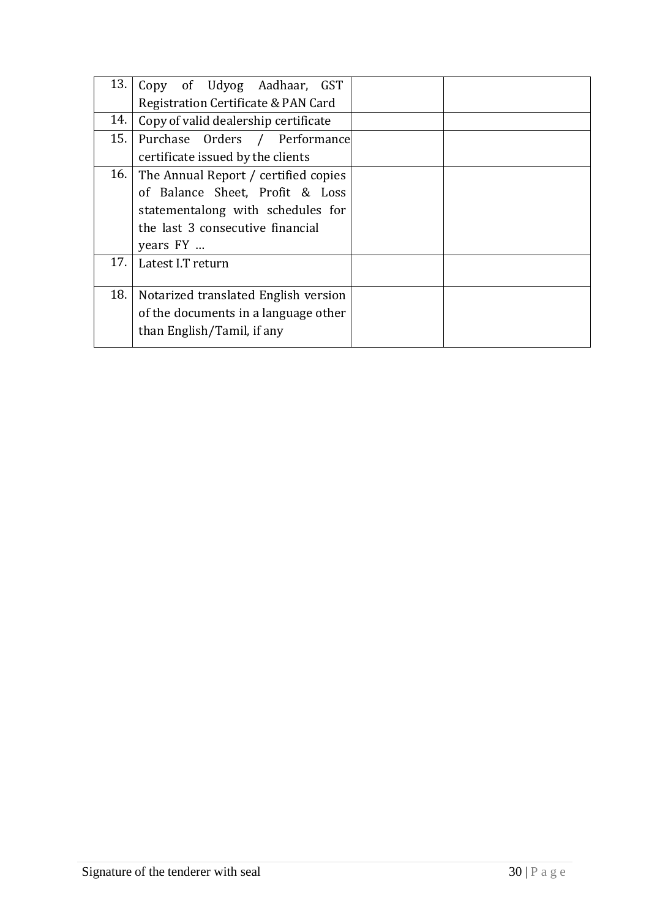| 13. | Copy of Udyog Aadhaar, GST           |  |
|-----|--------------------------------------|--|
|     | Registration Certificate & PAN Card  |  |
| 14. | Copy of valid dealership certificate |  |
| 15. | Purchase Orders / Performance        |  |
|     | certificate issued by the clients    |  |
| 16. | The Annual Report / certified copies |  |
|     | of Balance Sheet, Profit & Loss      |  |
|     | statementalong with schedules for    |  |
|     | the last 3 consecutive financial     |  |
|     | years FY                             |  |
| 17. | Latest I.T return                    |  |
|     |                                      |  |
| 18. | Notarized translated English version |  |
|     | of the documents in a language other |  |
|     | than English/Tamil, if any           |  |
|     |                                      |  |